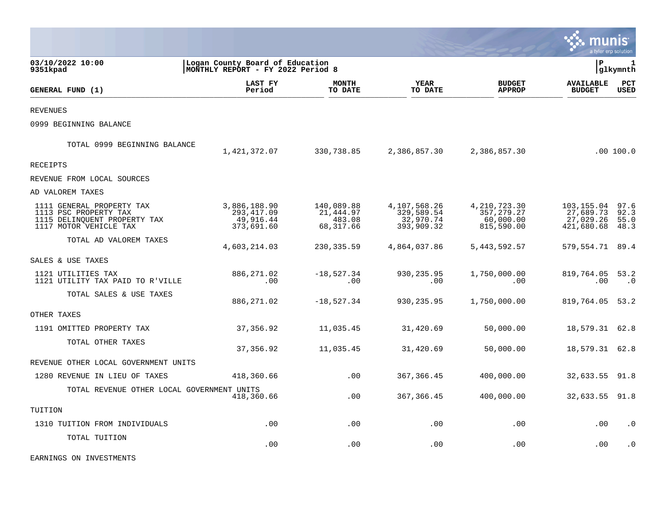|                                                                                                              |                                                                      |                                                |                                                       |                                                           |                                                    | a tyler erp solution         |
|--------------------------------------------------------------------------------------------------------------|----------------------------------------------------------------------|------------------------------------------------|-------------------------------------------------------|-----------------------------------------------------------|----------------------------------------------------|------------------------------|
| 03/10/2022 10:00<br>9351kpad                                                                                 | Logan County Board of Education<br>MONTHLY REPORT - FY 2022 Period 8 |                                                |                                                       |                                                           | ∣P                                                 | 1<br>glkymnth                |
| GENERAL FUND (1)                                                                                             | LAST FY<br>Period                                                    | <b>MONTH</b><br>TO DATE                        | <b>YEAR</b><br>TO DATE                                | <b>BUDGET</b><br><b>APPROP</b>                            | <b>AVAILABLE</b><br><b>BUDGET</b>                  | PCT<br>USED                  |
| <b>REVENUES</b>                                                                                              |                                                                      |                                                |                                                       |                                                           |                                                    |                              |
| 0999 BEGINNING BALANCE                                                                                       |                                                                      |                                                |                                                       |                                                           |                                                    |                              |
| TOTAL 0999 BEGINNING BALANCE                                                                                 | 1,421,372.07                                                         | 330,738.85                                     | 2,386,857.30                                          | 2,386,857.30                                              |                                                    | .00 100.0                    |
| <b>RECEIPTS</b>                                                                                              |                                                                      |                                                |                                                       |                                                           |                                                    |                              |
| REVENUE FROM LOCAL SOURCES                                                                                   |                                                                      |                                                |                                                       |                                                           |                                                    |                              |
| AD VALOREM TAXES                                                                                             |                                                                      |                                                |                                                       |                                                           |                                                    |                              |
| 1111 GENERAL PROPERTY TAX<br>1113 PSC PROPERTY TAX<br>1115 DELINQUENT PROPERTY TAX<br>1117 MOTOR VEHICLE TAX | 3,886,188.90<br>293, 417.09<br>49,916.44<br>373,691.60               | 140,089.88<br>21,444.97<br>483.08<br>68,317.66 | 4,107,568.26<br>329,589.54<br>32,970.74<br>393,909.32 | 4, 210, 723.30<br>357, 279. 27<br>60,000.00<br>815,590.00 | 103,155.04<br>27,689.73<br>27,029.26<br>421,680.68 | 97.6<br>92.3<br>55.0<br>48.3 |
| TOTAL AD VALOREM TAXES                                                                                       | 4,603,214.03                                                         | 230, 335.59                                    | 4,864,037.86                                          | 5,443,592.57                                              | 579,554.71                                         | 89.4                         |
| SALES & USE TAXES                                                                                            |                                                                      |                                                |                                                       |                                                           |                                                    |                              |
| 1121 UTILITIES TAX<br>1121 UTILITY TAX PAID TO R'VILLE                                                       | 886, 271.02<br>.00                                                   | $-18,527.34$<br>.00                            | 930,235.95<br>.00                                     | 1,750,000.00<br>.00                                       | 819,764.05<br>.00                                  | 53.2<br>$\cdot$ 0            |
| TOTAL SALES & USE TAXES                                                                                      | 886,271.02                                                           | $-18,527.34$                                   | 930,235.95                                            | 1,750,000.00                                              | 819,764.05                                         | 53.2                         |
| OTHER TAXES                                                                                                  |                                                                      |                                                |                                                       |                                                           |                                                    |                              |
| 1191 OMITTED PROPERTY TAX                                                                                    | 37,356.92                                                            | 11,035.45                                      | 31,420.69                                             | 50,000.00                                                 | 18,579.31                                          | 62.8                         |
| TOTAL OTHER TAXES                                                                                            | 37,356.92                                                            | 11,035.45                                      | 31,420.69                                             | 50,000.00                                                 | 18,579.31                                          | 62.8                         |
| REVENUE OTHER LOCAL GOVERNMENT UNITS                                                                         |                                                                      |                                                |                                                       |                                                           |                                                    |                              |
| 1280 REVENUE IN LIEU OF TAXES                                                                                | 418,360.66                                                           | .00                                            | 367,366.45                                            | 400,000.00                                                | 32,633.55                                          | 91.8                         |
| TOTAL REVENUE OTHER LOCAL GOVERNMENT UNITS                                                                   | 418,360.66                                                           | .00                                            | 367,366.45                                            | 400,000.00                                                | 32,633.55                                          | 91.8                         |
| TUITION                                                                                                      |                                                                      |                                                |                                                       |                                                           |                                                    |                              |
| 1310 TUITION FROM INDIVIDUALS                                                                                | .00                                                                  | .00                                            | .00                                                   | .00                                                       | .00                                                | $\cdot$ 0                    |
| TOTAL TUITION                                                                                                | .00                                                                  | .00                                            | .00                                                   | .00                                                       | .00                                                | . 0                          |

EARNINGS ON INVESTMENTS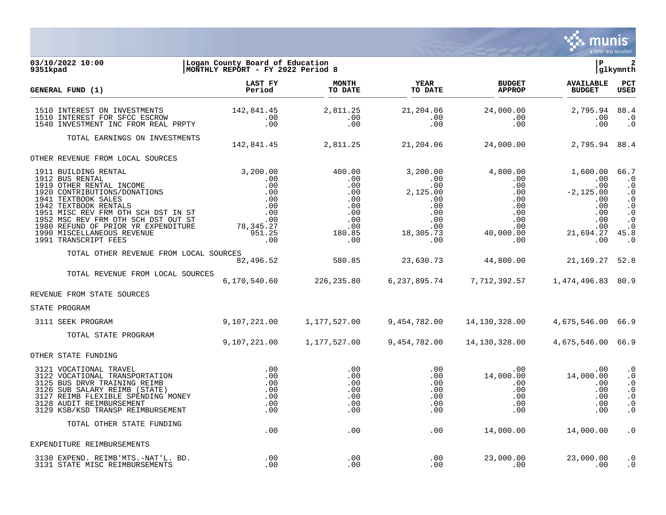

03/10/2022 10:00 **| Logan County Board of Education**<br>
9351kpad | MONTHLY REPORT - FY 2022 Period 8 **MONTHLY REPORT - FY 2022 Period 8 LAST FY MONTH YEAR BUDGET AVAILABLE PCT GENERAL FUND (1) Period TO DATE TO DATE APPROP BUDGET USED** TO DATE THE RELIGION CONDUCT, THE RELIGION CONDUCTS IN THE RELIGION CONDUCTS AND RELEASE TO DEPERT OPEN 1510 INTEREST ON INVESTMENTS 142,841.45 2,811.25 21,204.06 24,000.00 2,795.94 88.4 1510 INTEREST FOR SFCC ESCROW .00 .00 .00 .00 .00 .0 1540 INVESTMENT INC FROM REAL PRPTY TOTAL EARNINGS ON INVESTMENTS 142,841.45 2,811.25 21,204.06 24,000.00 2,795.94 88.4 OTHER REVENUE FROM LOCAL SOURCES 1911 BUILDING RENTAL 3,200.00 400.00 3,200.00 4,800.00 1,600.00 66.7 1912 BUS RENTAL .00 .00 .00 .00 .00 .0 1919 OTHER RENTAL INCOME .00 .00 .00 .00 .00 .0 1920 CONTRIBUTIONS/DONATIONS .00 .00 2,125.00 .00 -2,125.00 .0 1941 TEXTBOOK SALES .00 .00 .00 .00 .00 .0 1942 TEXTBOOK RENTALS .00 .00 .00 .00 .00 .0 1951 MISC REV FRM OTH SCH DST IN ST .00 .00 .00 .00 .00 .0 1952 MSC REV FRM OTH SCH DST OUT ST .00 .00 .00 .00 .00 .0 1980 REFUND OF PRIOR YR EXPENDITURE 78,345.27 .00 .00 .00 .00 .0 1990 MISCELLANEOUS REVENUE 951.25 180.85 18,305.73 40,000.00 21,694.27 45.8 1991 TRANSCRIPT FEES TOTAL OTHER REVENUE FROM LOCAL SOURCES 82,496.52 580.85 23,630.73 44,800.00 21,169.27 52.8 TOTAL REVENUE FROM LOCAL SOURCES 6,170,540.60 226,235.80 6,237,895.74 7,712,392.57 1,474,496.83 80.9 REVENUE FROM STATE SOURCES STATE PROGRAM 3111 SEEK PROGRAM 9,107,221.00 1,177,527.00 9,454,782.00 14,130,328.00 4,675,546.00 66.9 TOTAL STATE PROGRAM 9,107,221.00 1,177,527.00 9,454,782.00 14,130,328.00 4,675,546.00 66.9 OTHER STATE FUNDING 3121 VOCATIONAL TRAVEL .00 .00 .00 .00 .00 .0 3122 VOCATIONAL TRANSPORTATION .00 .00 .00 14,000.00 14,000.00 .0 3125 BUS DRVR TRAINING REIMB .00 .00 .00 .00 .00 .0 3126 SUB SALARY REIMB (STATE) .00 .00 .00 .00 .00 .0 3127 REIMB FLEXIBLE SPENDING MONEY .00 .00 .00 .00 .00 .0 3128 AUDIT REIMBURSEMENT .00 .00 .00 .00 .00 .0 3129 KSB/KSD TRANSP REIMBURSEMENT TOTAL OTHER STATE FUNDING  $.00$   $.00$   $.00$   $.00$   $.00$   $.00$   $.00$   $.00$   $.00$   $.00$   $.00$   $.00$   $.00$   $.00$   $.00$   $.00$   $.00$   $.00$   $.00$   $.00$   $.00$   $.00$   $.00$   $.00$   $.00$   $.00$   $.00$   $.00$   $.00$   $.00$   $.00$   $.00$   $.00$   $.00$   $.00$   $.00$   $.00$ EXPENDITURE REIMBURSEMENTS

| $. -NAT'$<br>REIMB'MTS<br><b>BD</b><br>EXPEND<br>الكلد<br>MTS | -00.   | . 00. | nnr<br>.00 | nnn | . |
|---------------------------------------------------------------|--------|-------|------------|-----|---|
| STATE MISC<br>REIMBURSEMENTS<br>.                             | . ປປ - | . 00- | . UU       | -00 | . |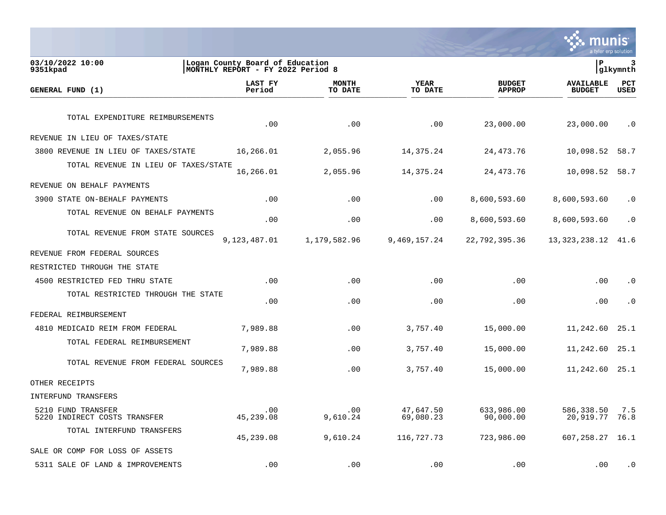

| 03/10/2022 10:00<br>9351kpad                       | Logan County Board of Education<br>MONTHLY REPORT - FY 2022 Period 8 |                         |                        |                                | lР                                | 3<br> glkymnth     |
|----------------------------------------------------|----------------------------------------------------------------------|-------------------------|------------------------|--------------------------------|-----------------------------------|--------------------|
| GENERAL FUND (1)                                   | LAST FY<br>Period                                                    | <b>MONTH</b><br>TO DATE | YEAR<br>TO DATE        | <b>BUDGET</b><br><b>APPROP</b> | <b>AVAILABLE</b><br><b>BUDGET</b> | PCT<br><b>USED</b> |
| TOTAL EXPENDITURE REIMBURSEMENTS                   | .00                                                                  | .00                     | .00                    | 23,000.00                      | 23,000.00                         | $\cdot$ 0          |
| REVENUE IN LIEU OF TAXES/STATE                     |                                                                      |                         |                        |                                |                                   |                    |
| 3800 REVENUE IN LIEU OF TAXES/STATE                | 16,266.01                                                            | 2,055.96                | 14,375.24              | 24, 473. 76                    | 10,098.52                         | 58.7               |
| TOTAL REVENUE IN LIEU OF TAXES/STATE               | 16,266.01                                                            | 2,055.96                | 14,375.24              | 24, 473. 76                    | 10,098.52                         | 58.7               |
| REVENUE ON BEHALF PAYMENTS                         |                                                                      |                         |                        |                                |                                   |                    |
| 3900 STATE ON-BEHALF PAYMENTS                      | .00                                                                  | .00                     | .00                    | 8,600,593.60                   | 8,600,593.60                      | $\cdot$ 0          |
| TOTAL REVENUE ON BEHALF PAYMENTS                   | .00                                                                  | .00                     | .00                    | 8,600,593.60                   | 8,600,593.60                      | $\cdot$ 0          |
| TOTAL REVENUE FROM STATE SOURCES                   | 9,123,487.01                                                         | 1,179,582.96            | 9,469,157.24           | 22,792,395.36                  | 13, 323, 238.12                   | 41.6               |
| REVENUE FROM FEDERAL SOURCES                       |                                                                      |                         |                        |                                |                                   |                    |
| RESTRICTED THROUGH THE STATE                       |                                                                      |                         |                        |                                |                                   |                    |
| 4500 RESTRICTED FED THRU STATE                     | .00                                                                  | .00                     | .00                    | .00                            | .00                               | $\cdot$ 0          |
| TOTAL RESTRICTED THROUGH THE STATE                 | .00                                                                  | .00                     | .00                    | .00                            | .00                               | $\cdot$ 0          |
| FEDERAL REIMBURSEMENT                              |                                                                      |                         |                        |                                |                                   |                    |
| 4810 MEDICAID REIM FROM FEDERAL                    | 7,989.88                                                             | .00                     | 3,757.40               | 15,000.00                      | 11,242.60                         | 25.1               |
| TOTAL FEDERAL REIMBURSEMENT                        | 7,989.88                                                             | .00                     | 3,757.40               | 15,000.00                      | 11,242.60                         | 25.1               |
| TOTAL REVENUE FROM FEDERAL SOURCES                 | 7,989.88                                                             | .00                     | 3,757.40               | 15,000.00                      | 11,242.60                         | 25.1               |
| OTHER RECEIPTS                                     |                                                                      |                         |                        |                                |                                   |                    |
| INTERFUND TRANSFERS                                |                                                                      |                         |                        |                                |                                   |                    |
| 5210 FUND TRANSFER<br>5220 INDIRECT COSTS TRANSFER | .00<br>45,239.08                                                     | .00<br>9,610.24         | 47,647.50<br>69,080.23 | 633,986.00<br>90,000.00        | 586,338.50<br>20,919.77           | 7.5<br>76.8        |
| TOTAL INTERFUND TRANSFERS                          | 45,239.08                                                            | 9,610.24                | 116,727.73             | 723,986.00                     | 607,258.27                        | 16.1               |
| SALE OR COMP FOR LOSS OF ASSETS                    |                                                                      |                         |                        |                                |                                   |                    |
| 5311 SALE OF LAND & IMPROVEMENTS                   | .00                                                                  | .00                     | .00                    | .00                            | .00                               | $\cdot$ 0          |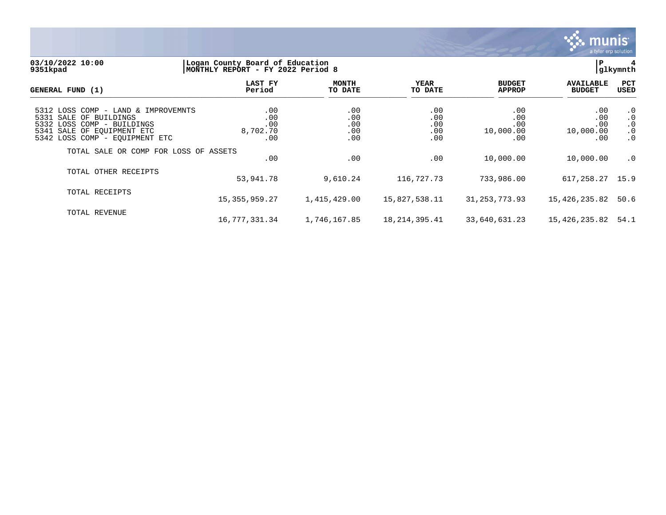

#### **03/10/2022 10:00 |Logan County Board of Education |P 4 9351kpad |MONTHLY REPORT - FY 2022 Period 8 |glkymnth**

| GENERAL FUND (1)                                                                                                                                            | LAST FY<br>Period                    | <b>MONTH</b><br>TO DATE         | YEAR<br>TO DATE                 | <b>BUDGET</b><br><b>APPROP</b>        | <b>AVAILABLE</b><br><b>BUDGET</b>     | PCT<br><b>USED</b>                                            |
|-------------------------------------------------------------------------------------------------------------------------------------------------------------|--------------------------------------|---------------------------------|---------------------------------|---------------------------------------|---------------------------------------|---------------------------------------------------------------|
| 5312 LOSS COMP - LAND & IMPROVEMNTS<br>5331 SALE OF BUILDINGS<br>5332 LOSS COMP - BUILDINGS<br>5341 SALE OF EOUIPMENT ETC<br>5342 LOSS COMP - EQUIPMENT ETC | .00<br>.00<br>.00<br>8,702.70<br>.00 | .00<br>.00<br>.00<br>.00<br>.00 | .00<br>.00<br>.00<br>.00<br>.00 | .00<br>.00<br>.00<br>10,000.00<br>.00 | .00<br>.00<br>.00<br>10,000.00<br>.00 | $\cdot$ 0<br>$\cdot$ 0<br>$\cdot$ 0<br>$\cdot$ 0<br>$\cdot$ 0 |
| TOTAL SALE OR COMP FOR LOSS OF ASSETS                                                                                                                       | .00                                  | .00                             | .00                             | 10,000.00                             | 10,000.00                             | $\cdot$ 0                                                     |
| TOTAL OTHER RECEIPTS                                                                                                                                        | 53,941.78                            | 9,610.24                        | 116,727.73                      | 733,986.00                            | 617,258.27 15.9                       |                                                               |
| TOTAL RECEIPTS                                                                                                                                              | 15, 355, 959. 27                     | 1,415,429.00                    | 15,827,538.11                   | 31, 253, 773.93                       | 15,426,235.82                         | 50.6                                                          |
| TOTAL REVENUE                                                                                                                                               | 16,777,331.34                        | 1,746,167.85                    | 18,214,395.41                   | 33,640,631.23                         | 15,426,235.82                         | 54.1                                                          |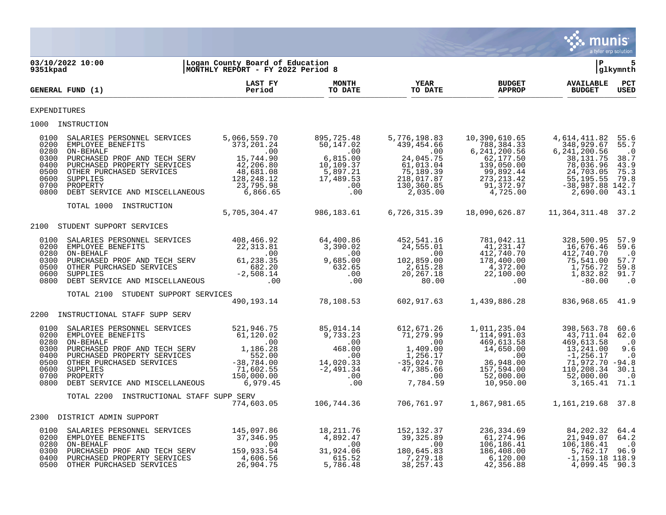

| 9351kpad                                                             | 03/10/2022 10:00                                                                                                                                                                                                                                                   | Logan County Board of Education<br>MONTHLY REPORT - FY 2022 Period 8 |                                                                                                                |                                                                                                                                                                                                                                                                     |                                                                                                                                                     | l P                                                                                                                                  | 5<br>glkymnth                                                                        |
|----------------------------------------------------------------------|--------------------------------------------------------------------------------------------------------------------------------------------------------------------------------------------------------------------------------------------------------------------|----------------------------------------------------------------------|----------------------------------------------------------------------------------------------------------------|---------------------------------------------------------------------------------------------------------------------------------------------------------------------------------------------------------------------------------------------------------------------|-----------------------------------------------------------------------------------------------------------------------------------------------------|--------------------------------------------------------------------------------------------------------------------------------------|--------------------------------------------------------------------------------------|
|                                                                      | GENERAL FUND (1)                                                                                                                                                                                                                                                   | LAST FY<br>Period                                                    | <b>MONTH</b><br>TO DATE                                                                                        | <b>YEAR</b><br>TO DATE                                                                                                                                                                                                                                              | <b>BUDGET</b><br><b>APPROP</b>                                                                                                                      | <b>AVAILABLE</b><br><b>BUDGET</b>                                                                                                    | $_{\rm PCT}$<br><b>USED</b>                                                          |
| <b>EXPENDITURES</b>                                                  |                                                                                                                                                                                                                                                                    |                                                                      |                                                                                                                |                                                                                                                                                                                                                                                                     |                                                                                                                                                     |                                                                                                                                      |                                                                                      |
|                                                                      | 1000 INSTRUCTION                                                                                                                                                                                                                                                   |                                                                      |                                                                                                                |                                                                                                                                                                                                                                                                     |                                                                                                                                                     |                                                                                                                                      |                                                                                      |
| 0100<br>0200<br>0280<br>0300<br>0400<br>0500<br>0600<br>0700<br>0800 | SALARIES PERSONNEL SERVICES<br>EMPLOYEE BENEFITS<br>ON-BEHALF<br>PURCHASED PROF AND TECH SERV 15,744.90<br>PURCHASED PROPERTY SERVICES 42,206.80<br>OTHER PURCHASED SERVICES 48,681.08<br>SUPPLIES 128,248.12<br>PROPERTY<br>DEBT SERVICE AND MISCELLANEOUS        | 5,066,559.70<br>373, 201.24<br>.00<br>23,795.98<br>6,866.65          | 895,725.48<br>50,147.02<br>$, 00$<br>$6, 815.00$<br>10,109.37<br>5,897.21<br>17,489.53<br>.00<br>.00           | 5,776,198.83<br>439,454.66<br>$\sim 00$<br>24,045.75<br>61,013.04<br>75,189.39<br>218,017.87<br>130,360.85<br>2,035.00                                                                                                                                              | 10,390,610.65<br>788,384.33<br>6, 241, 200.56<br>62,177.50<br>139,050.00<br>99,892.44<br>273, 213. 42<br>91,372.97<br>4,725.00                      | 4,614,411.82<br>348,929.67<br>6, 241, 200.56<br>38, 131. 75<br>78,036.96<br>24,703.05<br>55,195.55<br>$-38,987.88$ 142.7<br>2,690.00 | 55.6<br>55.7<br>$\cdot$ 0<br>38.7<br>43.9<br>75.3<br>79.8<br>43.1                    |
|                                                                      | TOTAL 1000 INSTRUCTION                                                                                                                                                                                                                                             | 5,705,304.47                                                         | 986,183.61                                                                                                     | 6,726,315.39                                                                                                                                                                                                                                                        | 18,090,626.87                                                                                                                                       | 11,364,311.48 37.2                                                                                                                   |                                                                                      |
|                                                                      | 2100 STUDENT SUPPORT SERVICES                                                                                                                                                                                                                                      |                                                                      |                                                                                                                |                                                                                                                                                                                                                                                                     |                                                                                                                                                     |                                                                                                                                      |                                                                                      |
| 0100<br>0200<br>0280<br>0300<br>0500<br>0600<br>0800                 | 3ALARIES PERSONNEL SERVICES 408,466.92 64,400.86 452,541.16<br>EMPLOYEE BENEFITS 22,313.81 3,390.02 24,555.01<br>ON-BEHALF .00 .00 .00<br>PURCHASED PROF AND TECH SERV<br>OTHER PURCHASED SERVICES 682.20 682.20 632.65 2,615.28<br>SUPP                           |                                                                      |                                                                                                                |                                                                                                                                                                                                                                                                     | 781,042.11<br>41,231.47<br>$\begin{array}{c} 41\,, 231\, .47\ 412\,, 740\, .70\ 178\,, 400\,. 00\ 4\,, 372\,. 00\ 22\,, 100\,. 00\ 00\ \end{array}$ | 328,500.95<br>16,676.46<br>412,740.70<br>75,541.00<br>1,756.72<br>1,832.82<br>$-80.00$                                               | 57.9<br>59.6<br>$\cdot$ 0<br>57.7<br>59.8<br>91.7<br>$\cdot$ 0                       |
|                                                                      | STUDENT SUPPORT SERVICES<br>TOTAL 2100                                                                                                                                                                                                                             |                                                                      |                                                                                                                |                                                                                                                                                                                                                                                                     |                                                                                                                                                     |                                                                                                                                      |                                                                                      |
|                                                                      |                                                                                                                                                                                                                                                                    |                                                                      |                                                                                                                | $190, 193.14$ $78, 108.53$ 602, 917.63                                                                                                                                                                                                                              | 1,439,886.28                                                                                                                                        | 836,968.65 41.9                                                                                                                      |                                                                                      |
|                                                                      | 2200 INSTRUCTIONAL STAFF SUPP SERV                                                                                                                                                                                                                                 |                                                                      |                                                                                                                |                                                                                                                                                                                                                                                                     |                                                                                                                                                     |                                                                                                                                      |                                                                                      |
| 0100<br>0200<br>0280<br>0300<br>0400<br>0500<br>0600<br>0700<br>0800 | SALARIES PERSONNEL SERVICES<br>EMPLOYEE BENEFITS<br>ON-BEHALF<br>PURCHASED PROF AND TECH SERV 1,186.28<br>PURCHASED PROPERTY SERVICES 552.00<br>OTHER PURCHASED SERVICES -38,784.00<br>SUPPLIES 71,602.55<br>PROPERTY 150,000.00<br>DEBT SERVICE AND MISCELLANEOUS | 521,946.75<br>61,120.02<br>$00$<br>1,186.28<br>552.00<br>6,979.45    | 85,014.14<br>$\begin{smallmatrix} 9,733.23\ 9,733.23\ 00\ 468.00\ 14,020.33\ 12,491.34\ 00\ \end{smallmatrix}$ | 612,671.26<br>71,279.99<br>$\begin{array}{cccc} 9\, , 733\, . 23 & 71\, , 279\, . 99 \\ .00 & 0 & 0 \\ 468\, . 00 & 1\, , 409\, . 00 \\ 14\, , 020\, . 33 & -35\, , 024\, . 70 \\ -2\, , 491\, . 34 & 47\, , 385\, . 66 \\ .00 & .00 & 7\, , 784\, .59 \end{array}$ | 1,011,235.04<br>114,991.03<br>$469,613.58$<br>$14,650.00$<br>$0$<br>$(1, 0.50, 0.00)$<br>00.00<br>36,948.00<br>157,594<br>10,950.00                 | 398,563.78<br>43,711.04 62.0<br>469,613.58<br>13,241.00<br>$-1, 256.17$<br>71,972.70 -94.8<br>110,208.34<br>52,000.00<br>3,165.41    | 60.6<br>$\cdot$ 0<br>9.6<br>$\cdot$ 0<br>30.1<br>$\overline{\phantom{0}}$ .0<br>71.1 |
|                                                                      | TOTAL 2200<br>INSTRUCTIONAL STAFF SUPP SERV                                                                                                                                                                                                                        | 774,603.05                                                           |                                                                                                                |                                                                                                                                                                                                                                                                     | 106,744.36 706,761.97 1,867,981.65 1,161,219.68 37.8                                                                                                |                                                                                                                                      |                                                                                      |
|                                                                      | 2300 DISTRICT ADMIN SUPPORT                                                                                                                                                                                                                                        |                                                                      |                                                                                                                |                                                                                                                                                                                                                                                                     |                                                                                                                                                     |                                                                                                                                      |                                                                                      |
| 0100<br>0200<br>0280<br>0300<br>0400<br>0500                         | SALARIES PERSONNEL SERVICES 145,097.86<br>EMPLOYEE BENEFITS<br>ON-BEHALF<br>PURCHASED PROF AND TECH SERV 159,933.54<br>PURCHASED PROPERTY SERVICES<br>OTHER PURCHASED SERVICES                                                                                     | 37,346.95<br>00.<br>4,606.56<br>26,904.75                            | 18,211.76<br>4,892.47<br>$\sim$ 00<br>31,924.06<br>615.52<br>5,786.48                                          | 152,132.37<br>39,325.89<br>$\sim$ 00<br>.00<br>180,645.83<br>7,279.18<br>38, 257. 43                                                                                                                                                                                | 236,334.69<br>61, 274.96<br>$106, 186.41$<br>$186, 408.00$<br>$6, 120, 00$<br>$6,120.00$<br>42.356.88<br>42,356.88                                  | 84,202.32<br>21,949.07<br>106, 186.41<br>5,762.17<br>$-1,159.18$ 118.9<br>4,099.45                                                   | 64.4<br>64.2<br>$\cdot$ 0<br>96.9<br>90.3                                            |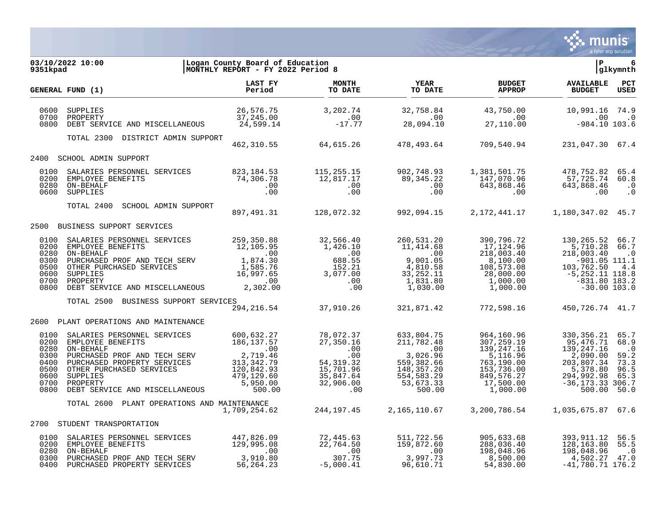

| 9351kpad                                                             | Logan County Board of Education<br> MONTHLY REPORT - FY 2022 Period 8<br>03/10/2022 10:00                                                                                                                                                                                                                                                                                                    |                |  |                                                            | P                              | 6<br>glkymnth |
|----------------------------------------------------------------------|----------------------------------------------------------------------------------------------------------------------------------------------------------------------------------------------------------------------------------------------------------------------------------------------------------------------------------------------------------------------------------------------|----------------|--|------------------------------------------------------------|--------------------------------|---------------|
|                                                                      | GENERAL FUND (1)                                                                                                                                                                                                                                                                                                                                                                             | <b>LAST FY</b> |  | <b>BUDGET</b><br><b>APPROP</b>                             | AVAILABLE PCT<br><b>BUDGET</b> | <b>USED</b>   |
| 0600<br>0700<br>0800                                                 | 96,576.75 3,202.74 32,758.84 43,750.00 10,991.16 10,991.16 26,576.75 26,576.75<br>10.0 00 10,991.16 37,245.00 .00<br>103.6 984.10 27,110.00 984.10 103.6 24,599.14 -17.77 28,094.10 27,110.00                                                                                                                                                                                                |                |  |                                                            |                                |               |
|                                                                      | TOTAL 2300 DISTRICT ADMIN SUPPORT                                                                                                                                                                                                                                                                                                                                                            |                |  | 462,310.55 64,615.26 478,493.64 709,540.94 231,047.30 67.4 |                                |               |
|                                                                      | 2400 SCHOOL ADMIN SUPPORT                                                                                                                                                                                                                                                                                                                                                                    |                |  |                                                            |                                |               |
| 0100<br>0200<br>0280                                                 | 0600 SUPPLIES                                                                                                                                                                                                                                                                                                                                                                                |                |  |                                                            |                                |               |
|                                                                      | TOTAL 2400 SCHOOL ADMIN SUPPORT 897,491.31 128,072.32 992,094.15 2,172,441.17 1,180,347.02 45.7                                                                                                                                                                                                                                                                                              |                |  |                                                            |                                |               |
|                                                                      |                                                                                                                                                                                                                                                                                                                                                                                              |                |  |                                                            |                                |               |
|                                                                      | 2500 BUSINESS SUPPORT SERVICES                                                                                                                                                                                                                                                                                                                                                               |                |  |                                                            |                                |               |
| 0100<br>0200<br>0280<br>0300<br>0500<br>0600<br>0700<br>0800         |                                                                                                                                                                                                                                                                                                                                                                                              |                |  |                                                            |                                |               |
|                                                                      | TOTAL 2500 BUSINESS SUPPORT SERVICES                                                                                                                                                                                                                                                                                                                                                         |                |  |                                                            |                                |               |
|                                                                      |                                                                                                                                                                                                                                                                                                                                                                                              |                |  |                                                            |                                |               |
|                                                                      | 2600 PLANT OPERATIONS AND MAINTENANCE                                                                                                                                                                                                                                                                                                                                                        |                |  |                                                            |                                |               |
| 0100<br>0200<br>0280<br>0300<br>0400<br>0500<br>0600<br>0700<br>0800 | 3ALARIES PERSONNEL SERVICES $\begin{array}{l} \texttt{SMPLOYEE} \texttt{ BENEFTTS} \\ \texttt{EMPLOYEE} \texttt{ BENEFTTS} \\ \texttt{ONP-EHATEF} \end{array} \quad \begin{array}{l} \texttt{500,632.27} \\ \texttt{MS=137.57} \\ \texttt{OMP-EHATEF} \end{array} \quad \begin{array}{l} \texttt{51,37.57} \\ \texttt{52,17.59} \\ \texttt{130,269} \\ \texttt{130,269} \\ \texttt{131,37.5$ |                |  |                                                            |                                |               |
|                                                                      | TOTAL 2600 PLANT OPERATIONS AND MAINTENANCE                                                                                                                                                                                                                                                                                                                                                  |                |  |                                                            |                                |               |
|                                                                      | 2700 STUDENT TRANSPORTATION                                                                                                                                                                                                                                                                                                                                                                  |                |  |                                                            |                                |               |
| 0100                                                                 |                                                                                                                                                                                                                                                                                                                                                                                              |                |  |                                                            |                                |               |
| 0200<br>0280<br>0300<br>0400                                         | 905,633.68 393,911.12 56.5 3.68 393,911.12 56.5 26.9 447,826.09 72,445.63 511,722.56 905,633.68 393,911.12 56.5<br>129,995.08 22,764.50 159,872.60 288,036.40 128,163.80 55.5<br>159,872.60 288,036.40 128,163.80 55.5<br>198,048.96 1                                                                                                                                                       |                |  |                                                            |                                |               |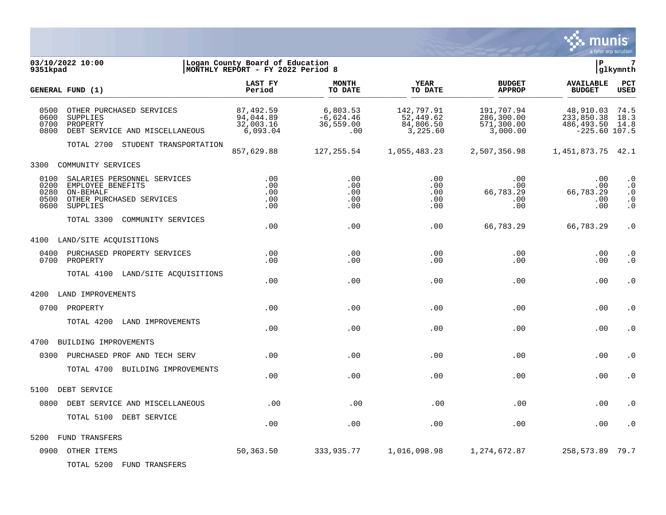

| 03/10/2022 10:00<br>9351kpad                                                                                                               | Logan County Board of Education<br>MONTHLY REPORT - FY 2022 Period 8 |                                             |                                                  |                                                    | l P                                                            | $7\phantom{.0}$<br>glkymnth                                                |
|--------------------------------------------------------------------------------------------------------------------------------------------|----------------------------------------------------------------------|---------------------------------------------|--------------------------------------------------|----------------------------------------------------|----------------------------------------------------------------|----------------------------------------------------------------------------|
| GENERAL FUND (1)                                                                                                                           | LAST FY<br>Period                                                    | <b>MONTH</b><br>TO DATE                     | <b>YEAR</b><br>TO DATE                           | <b>BUDGET</b><br><b>APPROP</b>                     | <b>AVAILABLE</b><br><b>BUDGET</b>                              | PCT<br><b>USED</b>                                                         |
| 0500<br>OTHER PURCHASED SERVICES<br>0600<br>SUPPLIES<br>0700<br>PROPERTY<br>0800<br>DEBT SERVICE AND MISCELLANEOUS                         | 87,492.59<br>94,044.89<br>32,003.16<br>6,093.04                      | 6,803.53<br>$-6,624.46$<br>36,559.00<br>.00 | 142,797.91<br>52,449.62<br>84,806.50<br>3,225.60 | 191,707.94<br>286,300.00<br>571,300.00<br>3,000.00 | 48,910.03<br>233,850.38<br>486, 493.50 14.8<br>$-225.60$ 107.5 | 74.5<br>18.3                                                               |
| TOTAL 2700 STUDENT TRANSPORTATION                                                                                                          | 857,629.88                                                           | 127,255.54                                  | 1,055,483.23                                     | 2,507,356.98                                       | 1,451,873.75 42.1                                              |                                                                            |
| 3300<br>COMMUNITY SERVICES                                                                                                                 |                                                                      |                                             |                                                  |                                                    |                                                                |                                                                            |
| 0100<br>SALARIES PERSONNEL SERVICES<br>0200<br>EMPLOYEE BENEFITS<br>0280<br>ON-BEHALF<br>0500 OTHER PURCHASED SERVICES<br>0600<br>SUPPLIES | .00<br>.00<br>.00<br>.00<br>.00                                      | .00<br>.00<br>.00<br>.00<br>.00             | .00<br>.00<br>.00<br>.00<br>.00                  | .00<br>.00<br>66,783.29<br>.00<br>.00              | .00<br>.00<br>66,783.29<br>.00<br>.00                          | $\boldsymbol{\cdot}$ 0<br>$\cdot$ 0<br>$\cdot$ 0<br>$\cdot$ 0<br>$\cdot$ 0 |
| TOTAL 3300<br>COMMUNITY SERVICES                                                                                                           | .00                                                                  | .00                                         | .00                                              | 66,783.29                                          | 66,783.29                                                      | $\cdot$ 0                                                                  |
| 4100 LAND/SITE ACQUISITIONS                                                                                                                |                                                                      |                                             |                                                  |                                                    |                                                                |                                                                            |
| 0400 PURCHASED PROPERTY SERVICES<br>0700<br>PROPERTY                                                                                       | .00<br>.00                                                           | .00<br>.00                                  | .00<br>.00                                       | .00<br>.00                                         | .00<br>.00                                                     | $\cdot$ 0<br>$\cdot$ 0                                                     |
| TOTAL 4100 LAND/SITE ACQUISITIONS                                                                                                          | .00                                                                  | .00                                         | .00                                              | .00                                                | .00                                                            | $\cdot$ 0                                                                  |
| 4200<br>LAND IMPROVEMENTS                                                                                                                  |                                                                      |                                             |                                                  |                                                    |                                                                |                                                                            |
| 0700 PROPERTY                                                                                                                              | .00                                                                  | .00                                         | .00                                              | .00                                                | .00                                                            | $\cdot$ 0                                                                  |
| TOTAL 4200<br>LAND IMPROVEMENTS                                                                                                            | .00                                                                  | .00                                         | .00                                              | .00                                                | .00                                                            | $\cdot$ 0                                                                  |
| 4700<br>BUILDING IMPROVEMENTS                                                                                                              |                                                                      |                                             |                                                  |                                                    |                                                                |                                                                            |
| 0300 PURCHASED PROF AND TECH SERV                                                                                                          | .00                                                                  | .00                                         | .00                                              | .00                                                | .00                                                            | $\cdot$ 0                                                                  |
| TOTAL 4700 BUILDING IMPROVEMENTS                                                                                                           | .00                                                                  | .00                                         | .00                                              | .00                                                | .00                                                            | $\cdot 0$                                                                  |
| 5100<br>DEBT SERVICE                                                                                                                       |                                                                      |                                             |                                                  |                                                    |                                                                |                                                                            |
| 0800 DEBT SERVICE AND MISCELLANEOUS                                                                                                        | .00                                                                  | .00                                         | .00                                              | .00                                                | .00                                                            | . 0                                                                        |
| TOTAL 5100 DEBT SERVICE                                                                                                                    | .00                                                                  | .00                                         | .00                                              | .00                                                | .00                                                            | $\cdot$ 0                                                                  |
| FUND TRANSFERS<br>5200                                                                                                                     |                                                                      |                                             |                                                  |                                                    |                                                                |                                                                            |
| 0900 OTHER ITEMS                                                                                                                           | 50,363.50                                                            | 333,935.77                                  | 1,016,098.98                                     | 1,274,672.87                                       | 258,573.89                                                     | 79.7                                                                       |

TOTAL 5200 FUND TRANSFERS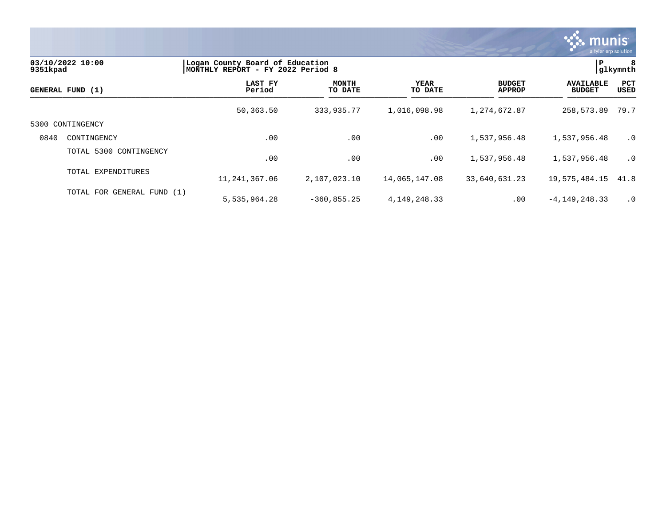

| 9351kpad | 03/10/2022 10:00           | Logan County Board of Education<br>MONTHLY REPORT - FY 2022 Period 8 |                         | ΙP.<br>glkymnth        |                                |                                   |                    |
|----------|----------------------------|----------------------------------------------------------------------|-------------------------|------------------------|--------------------------------|-----------------------------------|--------------------|
|          | GENERAL FUND (1)           | LAST FY<br>Period                                                    | <b>MONTH</b><br>TO DATE | <b>YEAR</b><br>TO DATE | <b>BUDGET</b><br><b>APPROP</b> | <b>AVAILABLE</b><br><b>BUDGET</b> | <b>PCT</b><br>USED |
|          |                            | 50,363.50                                                            | 333,935.77              | 1,016,098.98           | 1,274,672.87                   | 258,573.89                        | 79.7               |
| 5300     | CONTINGENCY                |                                                                      |                         |                        |                                |                                   |                    |
| 0840     | CONTINGENCY                | .00                                                                  | .00                     | $.00 \,$               | 1,537,956.48                   | 1,537,956.48                      | $\cdot$ 0          |
|          | TOTAL 5300 CONTINGENCY     | .00                                                                  | .00                     | .00                    | 1,537,956.48                   | 1,537,956.48                      | $\cdot$ 0          |
|          | TOTAL EXPENDITURES         | 11,241,367.06                                                        | 2,107,023.10            | 14,065,147.08          | 33,640,631.23                  | 19,575,484.15                     | 41.8               |
|          | TOTAL FOR GENERAL FUND (1) | 5,535,964.28                                                         | $-360, 855.25$          | 4, 149, 248. 33        | $.00 \,$                       | $-4, 149, 248.33$                 | $\cdot$ 0          |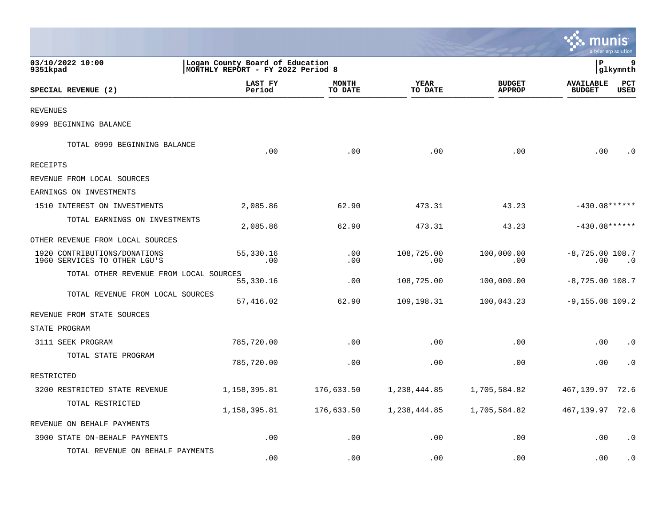|                                                              |                                                                      |                         |                        |                                |                                   | a tyler erp solution |
|--------------------------------------------------------------|----------------------------------------------------------------------|-------------------------|------------------------|--------------------------------|-----------------------------------|----------------------|
| 03/10/2022 10:00<br>9351kpad                                 | Logan County Board of Education<br>MONTHLY REPORT - FY 2022 Period 8 |                         |                        |                                | P.                                | 9<br>glkymnth        |
| SPECIAL REVENUE (2)                                          | LAST FY<br>Period                                                    | <b>MONTH</b><br>TO DATE | <b>YEAR</b><br>TO DATE | <b>BUDGET</b><br><b>APPROP</b> | <b>AVAILABLE</b><br><b>BUDGET</b> | PCT<br><b>USED</b>   |
| <b>REVENUES</b>                                              |                                                                      |                         |                        |                                |                                   |                      |
| 0999 BEGINNING BALANCE                                       |                                                                      |                         |                        |                                |                                   |                      |
| TOTAL 0999 BEGINNING BALANCE                                 | .00                                                                  | .00                     | .00                    | .00                            | .00                               | . 0                  |
| <b>RECEIPTS</b>                                              |                                                                      |                         |                        |                                |                                   |                      |
| REVENUE FROM LOCAL SOURCES                                   |                                                                      |                         |                        |                                |                                   |                      |
| EARNINGS ON INVESTMENTS                                      |                                                                      |                         |                        |                                |                                   |                      |
| 1510 INTEREST ON INVESTMENTS                                 | 2,085.86                                                             | 62.90                   | 473.31                 | 43.23                          | $-430.08******$                   |                      |
| TOTAL EARNINGS ON INVESTMENTS                                | 2,085.86                                                             | 62.90                   | 473.31                 | 43.23                          | $-430.08******$                   |                      |
| OTHER REVENUE FROM LOCAL SOURCES                             |                                                                      |                         |                        |                                |                                   |                      |
| 1920 CONTRIBUTIONS/DONATIONS<br>1960 SERVICES TO OTHER LGU'S | 55,330.16<br>.00                                                     | .00<br>.00              | 108,725.00<br>.00      | 100,000.00<br>.00              | $-8,725.00$ 108.7<br>.00          | $\cdot$ 0            |
| TOTAL OTHER REVENUE FROM LOCAL SOURCES                       | 55,330.16                                                            | .00                     | 108,725.00             | 100,000.00                     | $-8,725.00$ 108.7                 |                      |
| TOTAL REVENUE FROM LOCAL SOURCES                             | 57,416.02                                                            | 62.90                   | 109,198.31             | 100,043.23                     | $-9, 155.08$ 109.2                |                      |
| REVENUE FROM STATE SOURCES                                   |                                                                      |                         |                        |                                |                                   |                      |
| STATE PROGRAM                                                |                                                                      |                         |                        |                                |                                   |                      |
| 3111 SEEK PROGRAM                                            | 785,720.00                                                           | .00                     | .00                    | .00                            | .00                               | $\cdot$ 0            |
| TOTAL STATE PROGRAM                                          | 785,720.00                                                           | .00                     | .00                    | .00                            | .00                               | . 0                  |
| RESTRICTED                                                   |                                                                      |                         |                        |                                |                                   |                      |
| 3200 RESTRICTED STATE REVENUE                                | 1,158,395.81                                                         | 176,633.50              | 1,238,444.85           | 1,705,584.82                   | 467,139.97                        | 72.6                 |
| TOTAL RESTRICTED                                             | 1,158,395.81                                                         | 176,633.50              | 1,238,444.85           | 1,705,584.82                   | 467,139.97                        | 72.6                 |
| REVENUE ON BEHALF PAYMENTS                                   |                                                                      |                         |                        |                                |                                   |                      |
| 3900 STATE ON-BEHALF PAYMENTS                                | .00                                                                  | .00                     | .00                    | .00                            | .00                               | $\cdot$ 0            |
| TOTAL REVENUE ON BEHALF PAYMENTS                             | .00                                                                  | .00                     | .00                    | .00                            | .00                               | . 0                  |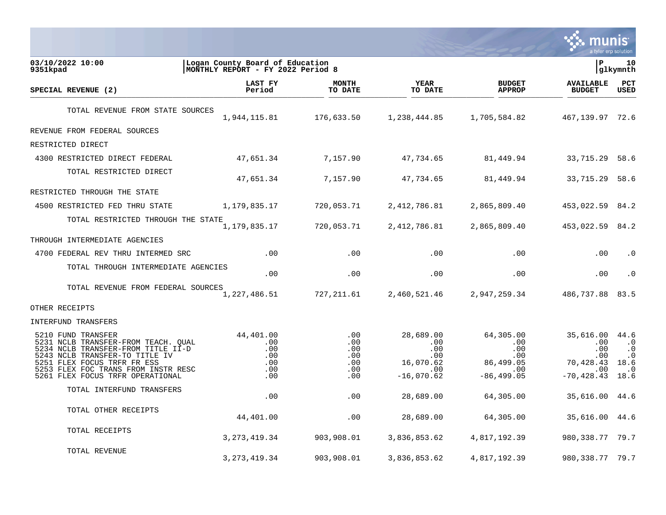

| 03/10/2022 10:00<br>9351kpad                                                                                                                                                                                                                | Logan County Board of Education<br> MONTHLY REPORT - FY 2022 Period 8 |                                               |                                                                      |                                                                      | l P                                                                           | 10<br>glkymnth                                                   |
|---------------------------------------------------------------------------------------------------------------------------------------------------------------------------------------------------------------------------------------------|-----------------------------------------------------------------------|-----------------------------------------------|----------------------------------------------------------------------|----------------------------------------------------------------------|-------------------------------------------------------------------------------|------------------------------------------------------------------|
| SPECIAL REVENUE (2)                                                                                                                                                                                                                         | LAST FY<br>Period                                                     | MONTH<br>TO DATE                              | <b>YEAR</b><br>TO DATE                                               | <b>BUDGET</b><br><b>APPROP</b>                                       | <b>AVAILABLE</b><br><b>BUDGET</b>                                             | PCT<br><b>USED</b>                                               |
| TOTAL REVENUE FROM STATE SOURCES                                                                                                                                                                                                            | 1,944,115.81                                                          | 176,633.50                                    | 1,238,444.85                                                         | 1,705,584.82                                                         | 467, 139.97 72.6                                                              |                                                                  |
| REVENUE FROM FEDERAL SOURCES                                                                                                                                                                                                                |                                                                       |                                               |                                                                      |                                                                      |                                                                               |                                                                  |
| RESTRICTED DIRECT                                                                                                                                                                                                                           |                                                                       |                                               |                                                                      |                                                                      |                                                                               |                                                                  |
| 4300 RESTRICTED DIRECT FEDERAL                                                                                                                                                                                                              | 47,651.34                                                             | 7,157.90                                      | 47,734.65                                                            | 81,449.94                                                            | 33,715.29 58.6                                                                |                                                                  |
| TOTAL RESTRICTED DIRECT                                                                                                                                                                                                                     | 47,651.34                                                             | 7,157.90                                      | 47,734.65                                                            | 81,449.94                                                            | 33,715.29 58.6                                                                |                                                                  |
| RESTRICTED THROUGH THE STATE                                                                                                                                                                                                                |                                                                       |                                               |                                                                      |                                                                      |                                                                               |                                                                  |
| 4500 RESTRICTED FED THRU STATE                                                                                                                                                                                                              | 1,179,835.17                                                          | 720,053.71                                    | 2,412,786.81                                                         | 2,865,809.40                                                         | 453,022.59 84.2                                                               |                                                                  |
| TOTAL RESTRICTED THROUGH THE STATE                                                                                                                                                                                                          | 1,179,835.17                                                          | 720,053.71                                    | 2,412,786.81                                                         | 2,865,809.40                                                         | 453,022.59 84.2                                                               |                                                                  |
| THROUGH INTERMEDIATE AGENCIES                                                                                                                                                                                                               |                                                                       |                                               |                                                                      |                                                                      |                                                                               |                                                                  |
| 4700 FEDERAL REV THRU INTERMED SRC                                                                                                                                                                                                          | .00                                                                   | .00                                           | .00                                                                  | .00                                                                  | .00                                                                           | $\cdot$ 0                                                        |
| TOTAL THROUGH INTERMEDIATE AGENCIES                                                                                                                                                                                                         | .00                                                                   | .00                                           | .00                                                                  | .00                                                                  | .00                                                                           | $\cdot$ 0                                                        |
| TOTAL REVENUE FROM FEDERAL SOURCES                                                                                                                                                                                                          | 1,227,486.51                                                          | 727,211.61                                    | 2,460,521.46                                                         | 2,947,259.34                                                         | 486,737.88                                                                    | 83.5                                                             |
| OTHER RECEIPTS                                                                                                                                                                                                                              |                                                                       |                                               |                                                                      |                                                                      |                                                                               |                                                                  |
| INTERFUND TRANSFERS                                                                                                                                                                                                                         |                                                                       |                                               |                                                                      |                                                                      |                                                                               |                                                                  |
| 5210 FUND TRANSFER<br>5231 NCLB TRANSFER-FROM TEACH. QUAL<br>5234 NCLB TRANSFER-FROM TITLE II-D<br>5243 NCLB TRANSFER-TO TITLE IV<br>5251 FLEX FOCUS TRFR FR ESS<br>5253 FLEX FOC TRANS FROM INSTR RESC<br>5261 FLEX FOCUS TRFR OPERATIONAL | 44,401.00<br>.00<br>.00<br>.00<br>.00<br>.00<br>.00                   | .00<br>.00<br>.00<br>.00<br>.00<br>.00<br>.00 | 28,689.00<br>.00<br>.00<br>.00.<br>16,070.62<br>.00.<br>$-16,070.62$ | 64,305.00<br>.00<br>.00<br>.00.<br>86,499.05<br>.00<br>$-86, 499.05$ | 35,616.00 44.6<br>.00<br>.00<br>$.00 \,$<br>70,428.43<br>.00<br>$-70, 428.43$ | $\cdot$ 0<br>$\cdot$ 0<br>$\cdot$ 0<br>18.6<br>$\cdot$ 0<br>18.6 |
| TOTAL INTERFUND TRANSFERS                                                                                                                                                                                                                   | .00                                                                   | .00                                           | 28,689.00                                                            | 64,305.00                                                            | 35,616.00                                                                     | 44.6                                                             |
| TOTAL OTHER RECEIPTS                                                                                                                                                                                                                        | 44,401.00                                                             | .00                                           | 28,689.00                                                            | 64,305.00                                                            | 35,616.00 44.6                                                                |                                                                  |
| TOTAL RECEIPTS                                                                                                                                                                                                                              | 3, 273, 419.34                                                        | 903,908.01                                    | 3,836,853.62                                                         | 4,817,192.39                                                         | 980, 338. 77 79. 7                                                            |                                                                  |
| TOTAL REVENUE                                                                                                                                                                                                                               | 3, 273, 419.34                                                        | 903,908.01                                    | 3,836,853.62                                                         | 4,817,192.39                                                         | 980, 338. 77 79. 7                                                            |                                                                  |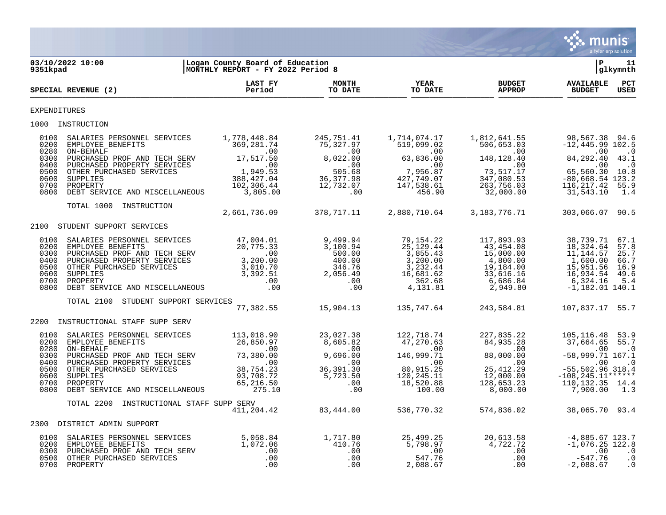

| 9351kpad                                                     | 03/10/2022 10:00                                                                                                                                                                                                                                                                                                                                                                                                                                                                                                                                                   | Logan County Board of Education<br> MONTHLY REPORT - FY 2022 Period 8                                                  |                                                                                                                                                                                    |                                                                                                                     |                                                                                                               | ΙP                                                                                                                                                        | 11<br> glkymnth                                     |
|--------------------------------------------------------------|--------------------------------------------------------------------------------------------------------------------------------------------------------------------------------------------------------------------------------------------------------------------------------------------------------------------------------------------------------------------------------------------------------------------------------------------------------------------------------------------------------------------------------------------------------------------|------------------------------------------------------------------------------------------------------------------------|------------------------------------------------------------------------------------------------------------------------------------------------------------------------------------|---------------------------------------------------------------------------------------------------------------------|---------------------------------------------------------------------------------------------------------------|-----------------------------------------------------------------------------------------------------------------------------------------------------------|-----------------------------------------------------|
|                                                              | SPECIAL REVENUE (2)                                                                                                                                                                                                                                                                                                                                                                                                                                                                                                                                                | LAST FY<br>Period                                                                                                      | <b>MONTH</b><br>TO DATE                                                                                                                                                            | YEAR<br>TO DATE                                                                                                     | <b>BUDGET</b><br><b>APPROP</b>                                                                                | <b>AVAILABLE</b><br><b>BUDGET</b>                                                                                                                         | $_{\tt PCT}$<br><b>USED</b>                         |
| EXPENDITURES                                                 |                                                                                                                                                                                                                                                                                                                                                                                                                                                                                                                                                                    |                                                                                                                        |                                                                                                                                                                                    |                                                                                                                     |                                                                                                               |                                                                                                                                                           |                                                     |
|                                                              | 1000 INSTRUCTION                                                                                                                                                                                                                                                                                                                                                                                                                                                                                                                                                   |                                                                                                                        |                                                                                                                                                                                    |                                                                                                                     |                                                                                                               |                                                                                                                                                           |                                                     |
| 0100<br>0200<br>0280<br>0300<br>0500<br>0600<br>0700         | SALARIES PERSONNEL SERVICES<br>EMPLOYEE BENEFITS<br>ON-BEHALF<br>PURCHASED PROF AND TECH SERV 17,517.50<br>0400 PURCHASED PROPERTY SERVICES<br>OTHER PURCHASED SERVICES<br>SUPPLIES<br>PROPERTY                                                                                                                                                                                                                                                                                                                                                                    | 1,778,448.84<br>369, 281.74<br>$\overline{00}$<br>1,949.53<br>388, 427.04<br>102, 306.44                               | 245,751.41<br>75,327.97<br>$\sim 00$<br>8,022.00<br>.00<br>505.68<br>36, 377.98<br>12,732.07                                                                                       | 1,714,074.17<br>519,099.02<br>.00<br>63,836.00<br>.00<br>7,956.87<br>427,749.07<br>147,538.61                       | 1,812,641.55<br>506,653.03<br>.00<br>148,128.40<br>.00<br>73,517.17<br>347,080.53<br>263,756.03               | 98,567.38 94.6<br>$-12, 445.99$ 102.5<br>.00<br>84,292.40 43.1<br>.00<br>65,560.30 10.8<br>$-80,668.54$ 123.2<br>116, 217.42                              | $\cdot$ 0<br>$\cdot$ 0<br>55.9                      |
| 0800                                                         | DEBT SERVICE AND MISCELLANEOUS                                                                                                                                                                                                                                                                                                                                                                                                                                                                                                                                     | 3,805.00                                                                                                               | .00                                                                                                                                                                                | 456.90                                                                                                              | 32,000.00                                                                                                     | 31,543.10                                                                                                                                                 | 1.4                                                 |
|                                                              | TOTAL 1000 INSTRUCTION                                                                                                                                                                                                                                                                                                                                                                                                                                                                                                                                             | 2,661,736.09                                                                                                           | 378,717.11                                                                                                                                                                         | 2,880,710.64                                                                                                        | 3,183,776.71                                                                                                  | 303,066.07 90.5                                                                                                                                           |                                                     |
|                                                              | 2100 STUDENT SUPPORT SERVICES                                                                                                                                                                                                                                                                                                                                                                                                                                                                                                                                      |                                                                                                                        |                                                                                                                                                                                    |                                                                                                                     |                                                                                                               |                                                                                                                                                           |                                                     |
| 0100<br>0200<br>0400<br>0500<br>0600<br>0800                 | $\begin{tabular}{llllllll} \multicolumn{2}{l}{{\small\textsf{SALARIES PERSONNEL} & \textsf{SERVICES}} & \textbf{47,004.01} \\ {\small\textsf{EMPLOYE BENEFITS}} & \textbf{20,775.33} \\ {\small\textsf{PURCHASED} & \textsf{PROP EROF} & \textsf{AND} & \textsf{TECH} & \textsf{SERV} & \textbf{00} \\ {\small\textsf{PURCHASED} & \textsf{PROPERTY} & \textsf{SERVICES}} & \textbf{3,200.00} \\ {\small\textsf{OTHER} & \textsf{PIWCHASED} & \textsf{SERVICES$<br>0300 PURCHASED PROF AND TECH SERV<br>0700 PROPERTY<br>.00<br>DEBT SERVICE AND MISCELLANEOUS .00 |                                                                                                                        | 9,499.94<br>3.100.94<br>3,100.94<br>$\begin{array}{r} 3\, , 100 \ . \ 94\, \ 500 \ . \ 00\, \ 400 \ . \ 00\, \ 346 \ . \ 76\, \ 2\, , 056 \ . \ 49\, \ . \ 00\, \ 0.0 \end{array}$ | 79,154.22<br>25, 129. 44<br>3,855.43<br>3,200.00<br>3,232.44<br>16,681.62<br>362.68<br>4,131.81                     | 117,893.93<br>43,454.08<br>15,000.00<br>4,800.00<br>19,184.00<br>33,616.16<br>6,686.84<br>2,949.80            | 38,739.71<br>18,324.64<br>11,144.57<br>1,600.00<br>15,951.56<br>16,934.54<br>6,324.16<br>$-1,182.01$ 140.1                                                | 67.1<br>57.8<br>25.7<br>66.7<br>16.9<br>49.6<br>5.4 |
|                                                              | TOTAL 2100 STUDENT SUPPORT SERVICES                                                                                                                                                                                                                                                                                                                                                                                                                                                                                                                                | 77,382.55                                                                                                              | 15,904.13                                                                                                                                                                          | 135,747.64                                                                                                          | 243,584.81                                                                                                    | 107,837.17 55.7                                                                                                                                           |                                                     |
| 2200                                                         | INSTRUCTIONAL STAFF SUPP SERV                                                                                                                                                                                                                                                                                                                                                                                                                                                                                                                                      |                                                                                                                        |                                                                                                                                                                                    |                                                                                                                     |                                                                                                               |                                                                                                                                                           |                                                     |
| 0100<br>0200<br>0280<br>0300<br>0400<br>0600<br>0700<br>0800 | SALARIES PERSONNEL SERVICES<br>EMPLOYEE BENEFITS<br>ON-BEHALF<br>PURCHASED PROF AND TECH SERV<br>PURCHASED PROPERTY SERVICES<br>0500 OTHER PURCHASED SERVICES<br>SUPPLIES<br>PROPERTY<br>DEBT SERVICE AND MISCELLANEOUS                                                                                                                                                                                                                                                                                                                                            | 113,018.90<br>26,850.97<br>$\overline{00}$<br>.00<br>00.00<br>00.00.<br>38,754.23<br>93,708.72<br>65, 216.50<br>275.10 | 23,027.38<br>8,605.82<br>$\sim$ 00<br>9,696.00<br>$\overline{00}$<br>36, 391.30<br>5,723.50<br>.00<br>.00                                                                          | 122,718.74<br>47,270.63<br>$\sim$ 00<br>146,999.71<br>$\sim$ 00<br>80,915.25<br>120, 245. 11<br>18,520.88<br>100.00 | 227,835.22<br>84,935.28<br>$\sim 00$<br>88,000.00<br>.00<br>25, 412.29<br>12,000.00<br>128,653.23<br>8,000.00 | 105, 116. 48 53. 9<br>37,664.65 55.7<br>.00<br>$-58,999.71$ 167.1<br>.00<br>$-55, 502.96$ 318.4<br>$-108, 245.11******$<br>110, 132. 35 14. 4<br>7,900.00 | $\ddot{\phantom{0}}$ .0<br>$\cdot$ 0<br>1.3         |
|                                                              | TOTAL 2200<br>INSTRUCTIONAL STAFF SUPP SERV                                                                                                                                                                                                                                                                                                                                                                                                                                                                                                                        | 411,204.42                                                                                                             | 83,444.00                                                                                                                                                                          | 536,770.32                                                                                                          | 574,836.02                                                                                                    | 38,065.70 93.4                                                                                                                                            |                                                     |
|                                                              | 2300 DISTRICT ADMIN SUPPORT                                                                                                                                                                                                                                                                                                                                                                                                                                                                                                                                        |                                                                                                                        |                                                                                                                                                                                    |                                                                                                                     |                                                                                                               |                                                                                                                                                           |                                                     |
| 0100<br>0200<br>0300<br>0500                                 | SALARIES PERSONNEL SERVICES 5,058.84<br>EMPLOYEE BENEFITS 1,072.06<br>PURCHASED PROF AND TECH SERV 1,072.06<br>OTHER PURCHASED SERVICES 00<br>PROPERTY 100<br>0700 PROPERTY                                                                                                                                                                                                                                                                                                                                                                                        |                                                                                                                        | 1,717.80<br>410.76<br>.00<br>.00<br>.00                                                                                                                                            | 25,499.25<br>5,798.97<br>547.00<br>547.76<br>2,088.67                                                               | 20,613.58<br>4,722.72<br>$\frac{00}{2}$<br>.00<br>.00                                                         | $-4,885.67$ 123.7<br>$-1,076.25$ 122.8<br>$\sim 00$<br>$-547.76$<br>$-2,088.67$                                                                           | $\cdot$ 0<br>$\cdot$ 0<br>$\cdot$ 0                 |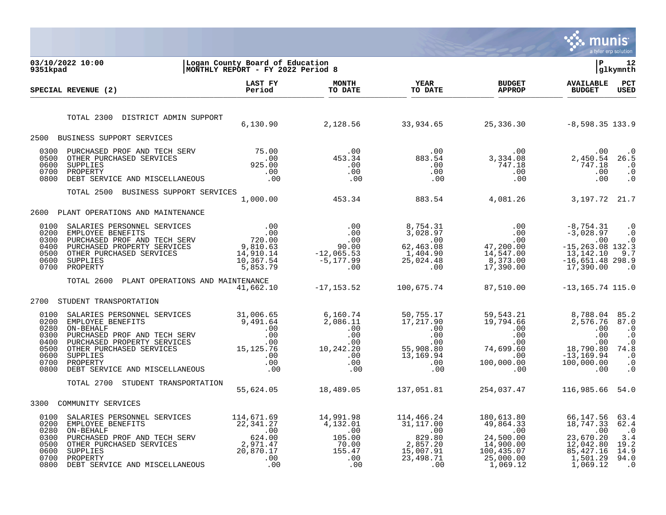

| 9351kpad                                                             | 03/10/2022 10:00                                                                                                                                                                                                                                                                                                                                                 | Logan County Board of Education<br>MONTHLY REPORT - FY 2022 Period 8 |                                                                                                                     |                                                                                                                |                                                                                                                                                                                                     | l P                                                                                                      | 12<br> glkymnth                                                                            |
|----------------------------------------------------------------------|------------------------------------------------------------------------------------------------------------------------------------------------------------------------------------------------------------------------------------------------------------------------------------------------------------------------------------------------------------------|----------------------------------------------------------------------|---------------------------------------------------------------------------------------------------------------------|----------------------------------------------------------------------------------------------------------------|-----------------------------------------------------------------------------------------------------------------------------------------------------------------------------------------------------|----------------------------------------------------------------------------------------------------------|--------------------------------------------------------------------------------------------|
|                                                                      | SPECIAL REVENUE (2)                                                                                                                                                                                                                                                                                                                                              | LAST FY<br>Period                                                    | <b>MONTH</b><br>TO DATE                                                                                             | YEAR<br>TO DATE                                                                                                | <b>BUDGET</b><br><b>APPROP</b>                                                                                                                                                                      | <b>AVAILABLE</b><br><b>BUDGET</b>                                                                        | PCT<br><b>USED</b>                                                                         |
|                                                                      | TOTAL 2300<br>DISTRICT ADMIN SUPPORT                                                                                                                                                                                                                                                                                                                             |                                                                      |                                                                                                                     |                                                                                                                | 6,130.90 2,128.56 33,934.65 25,336.30 -8,598.35 133.9                                                                                                                                               |                                                                                                          |                                                                                            |
| 2500                                                                 | BUSINESS SUPPORT SERVICES                                                                                                                                                                                                                                                                                                                                        |                                                                      |                                                                                                                     |                                                                                                                |                                                                                                                                                                                                     |                                                                                                          |                                                                                            |
| 0300<br>0500<br>0600<br>0700<br>0800                                 | PURCHASED PROF AND TECH SERV 75.00<br>OTHER PURCHASED SERVICES 325.00<br>SUPPLIES 925.00<br>PROPERTY .00<br>DEBT SERVICE AND MISCELLANEOUS .00                                                                                                                                                                                                                   |                                                                      |                                                                                                                     |                                                                                                                | $\begin{array}{cccc} . & 00 & . & 00 & . & 00 \ . & 00 & . & 01 & . & 00 \ . & 00 & . & 00 & . & 00 \ . & 00 & . & 00 & . & 00 \ . & 00 & . & 00 & . & 00 \ . & 00 & . & 00 & . & 00 \ \end{array}$ | .00<br>2,450.54<br>747.18<br>.00<br>.00                                                                  | $\cdot$ 0<br>26.5<br>$\cdot$ 0<br>$\cdot$ 0<br>$\cdot$ 0                                   |
|                                                                      | TOTAL 2500 BUSINESS SUPPORT SERVICES                                                                                                                                                                                                                                                                                                                             |                                                                      | $\begin{array}{cc} 3 & 1,000.00 & 453.34 \end{array}$                                                               |                                                                                                                | 883.54 4,081.26 3,197.72 21.7                                                                                                                                                                       |                                                                                                          |                                                                                            |
| 2600                                                                 | PLANT OPERATIONS AND MAINTENANCE                                                                                                                                                                                                                                                                                                                                 |                                                                      |                                                                                                                     |                                                                                                                |                                                                                                                                                                                                     |                                                                                                          |                                                                                            |
| 0100<br>0200<br>0300<br>0400<br>0500<br>0600<br>0700                 | 3ALARIES PERSONNEL SERVICES $$\begin{array}{l} 00&0&0&8,754.31\\ \texttt{EMPL്OYEE} \texttt{BENEFTTS}&00&0&3,028.97\\ \texttt{PURCHASED} \texttt{PROOF} \texttt{AND} \texttt{TECH} \texttt{SERV}&720.00&0&0\\ \texttt{PURCHASED} \texttt{PRODEFTY} \texttt{SERVICES}&9,810.63&90.00&62,463.08\\ \texttt{OTHER} \texttt{PURCHASED} \texttt{SERVICES}&14,910.14&-$ |                                                                      |                                                                                                                     |                                                                                                                | 8,754.31 00<br>3,028.97 00<br>00 00<br>62,463.08 47,200.00<br>1,404.90 14,547.00<br>25,024.48 8,373.00<br>8,373.00<br>17,390.00                                                                     | $-8,754.31$<br>$-3,028.97$<br>.00<br>$-15, 263.08$ 132.3<br>13,142.10<br>$-16,651.48$ 298.9<br>17,390.00 | $\cdot$ 0<br>$\cdot$ 0<br>$\cdot$ 0<br>9.7<br>$\overline{\phantom{0}}$ .0                  |
|                                                                      | TOTAL 2600<br>PLANT OPERATIONS AND MAINTENANCE                                                                                                                                                                                                                                                                                                                   | 41,662.10                                                            | $-17, 153.52$                                                                                                       | 100,675.74                                                                                                     | 87,510.00                                                                                                                                                                                           | $-13, 165.74$ 115.0                                                                                      |                                                                                            |
| 2700                                                                 | STUDENT TRANSPORTATION                                                                                                                                                                                                                                                                                                                                           |                                                                      |                                                                                                                     |                                                                                                                |                                                                                                                                                                                                     |                                                                                                          |                                                                                            |
| 0100<br>0200<br>0280<br>0300<br>0400<br>0500<br>0600<br>0700<br>0800 |                                                                                                                                                                                                                                                                                                                                                                  |                                                                      |                                                                                                                     |                                                                                                                |                                                                                                                                                                                                     | $18,790.80$ 74.8<br>-13,169.94 .0                                                                        | 85.2<br>87.0<br>$\cdot$ 0<br>$\cdot$ 0<br>$\cdot$ 0<br>$\cdot$ 0<br>$\cdot$ 0<br>$\cdot$ 0 |
|                                                                      | STUDENT TRANSPORTATION<br>TOTAL 2700                                                                                                                                                                                                                                                                                                                             |                                                                      | 55,624.05 18,489.05                                                                                                 | 137,051.81                                                                                                     | 254,037.47                                                                                                                                                                                          | 116,985.66 54.0                                                                                          |                                                                                            |
| 3300                                                                 | COMMUNITY SERVICES                                                                                                                                                                                                                                                                                                                                               |                                                                      |                                                                                                                     |                                                                                                                |                                                                                                                                                                                                     |                                                                                                          |                                                                                            |
| 0100<br>0200<br>0280<br>0300<br>0500<br>0600<br>0700<br>0800         | SALARIES PERSONNEL SERVICES 114,671.69<br>SALARIES PERSONNEL SERVICES<br>EMPLOYEE BENEFITS<br>ON-BEHALF<br>PURCHASED PROF AND TECH SERV<br>OTHER PURCHASED SERVICES<br>OTHER PURCHASED SERVICES<br>2,971.47<br>SUPPLIES<br>PROPERTY<br>20,870.17<br>DEBT SERVICE AND MISCELLANEOUS<br>00<br>DEBT                                                                 |                                                                      | 14,991.98<br>4,132.01<br>$\begin{smallmatrix} 14,132.01\ 4,132.01\ 00\ 105.00\ 70.00\ 155.47\ 0\ \end{smallmatrix}$ | 114,466.24<br>31,117.00<br>00.<br>829.80<br>829.80<br>2,857.20<br>15,007.91<br>للا./∪0, 15<br>23,498.71<br>00. | 180,613.80<br>$49,864.33$<br>$.00$<br>$24,500.00$<br>$14,900.00$<br>100,435.07<br>25,000.00<br>1,069.12                                                                                             | 66,147.56<br>18,747.33<br>$\overline{00}$<br>23,670.20<br>12,042.80<br>85,427.16<br>1,501.29<br>1,069.12 | 63.4<br>62.4<br>$\cdot$ 0<br>3.4<br>19.2<br>14.9<br>94.0<br>$\cdot$ 0                      |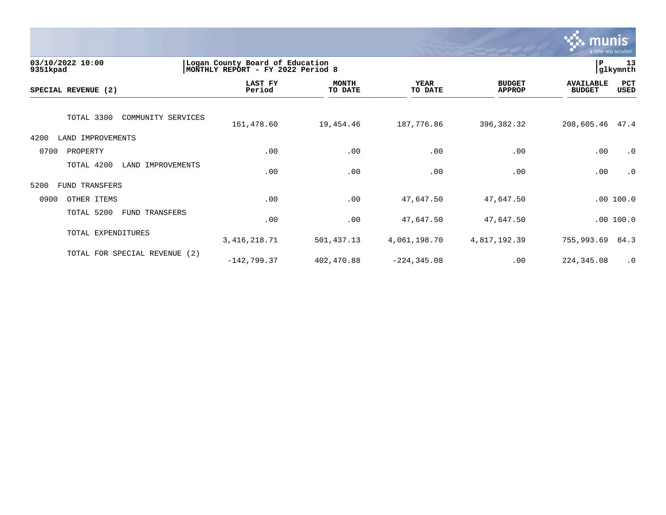

| 03/10/2022 10:00<br>9351kpad       | Logan County Board of Education<br>MONTHLY REPORT - FY 2022 Period 8 |                         |                        |                                |                                   | 13<br>glkymnth |
|------------------------------------|----------------------------------------------------------------------|-------------------------|------------------------|--------------------------------|-----------------------------------|----------------|
| SPECIAL REVENUE (2)                | LAST FY<br>Period                                                    | <b>MONTH</b><br>TO DATE | <b>YEAR</b><br>TO DATE | <b>BUDGET</b><br><b>APPROP</b> | <b>AVAILABLE</b><br><b>BUDGET</b> | PCT<br>USED    |
| TOTAL 3300<br>COMMUNITY SERVICES   | 161,478.60                                                           | 19,454.46               | 187,776.86             | 396,382.32                     | 208,605.46                        | 47.4           |
| 4200<br>LAND IMPROVEMENTS          |                                                                      |                         |                        |                                |                                   |                |
| 0700<br>PROPERTY                   | .00                                                                  | .00                     | .00                    | .00                            | .00                               | $\cdot$ 0      |
| TOTAL 4200<br>IMPROVEMENTS<br>LAND | .00                                                                  | .00                     | .00                    | .00                            | .00                               | $\cdot$ 0      |
| 5200<br>FUND TRANSFERS             |                                                                      |                         |                        |                                |                                   |                |
| 0900<br>OTHER ITEMS                | .00                                                                  | .00                     | 47,647.50              | 47,647.50                      |                                   | .00100.0       |
| TOTAL 5200<br>FUND TRANSFERS       | .00                                                                  | .00                     | 47,647.50              | 47,647.50                      |                                   | .00100.0       |
| TOTAL EXPENDITURES                 | 3, 416, 218.71                                                       | 501,437.13              | 4,061,198.70           | 4,817,192.39                   | 755,993.69                        | 84.3           |
| TOTAL FOR SPECIAL REVENUE (2)      | $-142,799.37$                                                        | 402,470.88              | $-224, 345.08$         | .00                            | 224,345.08                        | $\cdot$ 0      |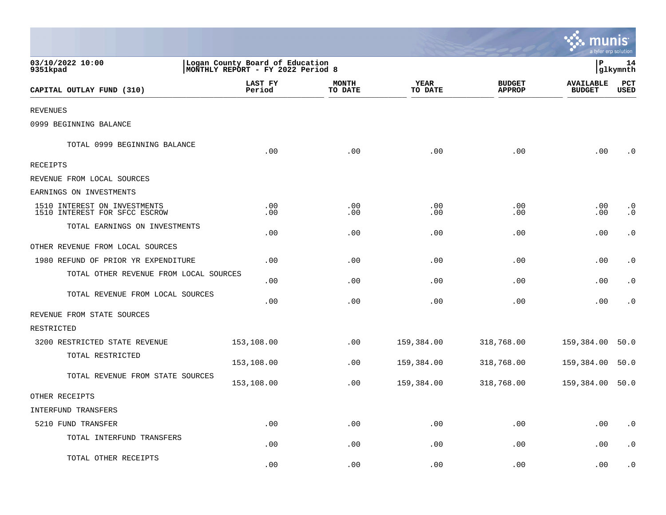|                                                               |                                                                       |                         |                             |                                | a tyler erp solution              |                        |
|---------------------------------------------------------------|-----------------------------------------------------------------------|-------------------------|-----------------------------|--------------------------------|-----------------------------------|------------------------|
| 03/10/2022 10:00<br>9351kpad                                  | Logan County Board of Education<br> MONTHLY REPORT - FY 2022 Period 8 |                         |                             |                                | P                                 | 14<br>glkymnth         |
| CAPITAL OUTLAY FUND (310)                                     | LAST FY<br>Period                                                     | <b>MONTH</b><br>TO DATE | <b>YEAR</b><br>TO DATE      | <b>BUDGET</b><br><b>APPROP</b> | <b>AVAILABLE</b><br><b>BUDGET</b> | PCT<br>USED            |
| <b>REVENUES</b>                                               |                                                                       |                         |                             |                                |                                   |                        |
| 0999 BEGINNING BALANCE                                        |                                                                       |                         |                             |                                |                                   |                        |
| TOTAL 0999 BEGINNING BALANCE                                  | .00                                                                   | .00                     | .00                         | .00                            | .00                               | $\cdot$ 0              |
| RECEIPTS                                                      |                                                                       |                         |                             |                                |                                   |                        |
| REVENUE FROM LOCAL SOURCES                                    |                                                                       |                         |                             |                                |                                   |                        |
| EARNINGS ON INVESTMENTS                                       |                                                                       |                         |                             |                                |                                   |                        |
| 1510 INTEREST ON INVESTMENTS<br>1510 INTEREST FOR SFCC ESCROW | .00<br>.00                                                            | $.00 \,$<br>.00         | .00<br>.00                  | .00<br>.00                     | $.00 \,$<br>.00                   | $\cdot$ 0<br>$\cdot$ 0 |
| TOTAL EARNINGS ON INVESTMENTS                                 | .00                                                                   | .00                     | .00                         | .00                            | .00                               | $\cdot$ 0              |
| OTHER REVENUE FROM LOCAL SOURCES                              |                                                                       |                         |                             |                                |                                   |                        |
| 1980 REFUND OF PRIOR YR EXPENDITURE                           | .00                                                                   | .00                     | .00                         | .00                            | .00                               | $\cdot$ 0              |
| TOTAL OTHER REVENUE FROM LOCAL SOURCES                        | .00                                                                   | .00                     | .00                         | .00                            | .00                               | $\cdot$ 0              |
| TOTAL REVENUE FROM LOCAL SOURCES                              | .00                                                                   | .00                     | .00                         | .00                            | .00                               | $\cdot$ 0              |
| REVENUE FROM STATE SOURCES                                    |                                                                       |                         |                             |                                |                                   |                        |
| RESTRICTED                                                    |                                                                       |                         |                             |                                |                                   |                        |
| 3200 RESTRICTED STATE REVENUE                                 | 153,108.00                                                            | .00                     | 159,384.00                  | 318,768.00                     | 159,384.00                        | 50.0                   |
| TOTAL RESTRICTED                                              | 153,108.00                                                            | .00                     | 159,384.00                  | 318,768.00                     | 159,384.00                        | 50.0                   |
| TOTAL REVENUE FROM STATE SOURCES                              | 153,108.00                                                            | .00                     | 159,384.00                  | 318,768.00                     | 159,384.00 50.0                   |                        |
| OTHER RECEIPTS                                                |                                                                       |                         |                             |                                |                                   |                        |
| INTERFUND TRANSFERS                                           |                                                                       |                         |                             |                                |                                   |                        |
| 5210 FUND TRANSFER                                            | .00                                                                   | .00                     | $.00$                       | .00                            | .00                               | $\boldsymbol{\cdot}$ 0 |
| TOTAL INTERFUND TRANSFERS                                     | .00                                                                   | .00                     | .00                         | .00                            | .00                               | $\cdot$ 0              |
| TOTAL OTHER RECEIPTS                                          | .00                                                                   | .00                     | $\boldsymbol{\mathsf{.00}}$ | .00                            | .00                               | $\cdot$ 0              |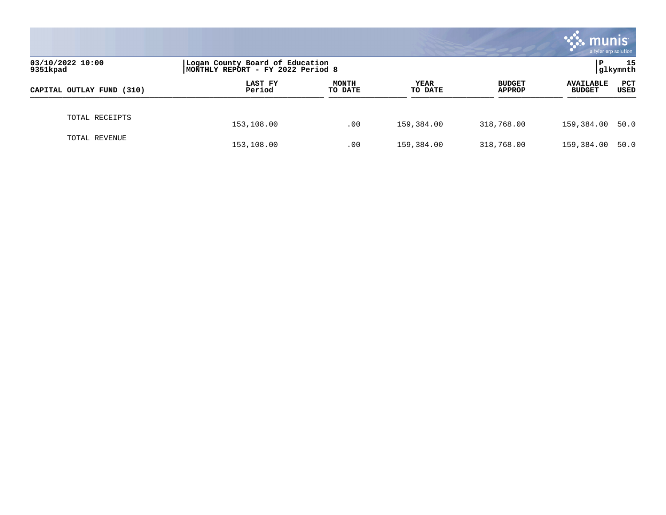|                              |                                                                      |                         |                 |                                | munis<br>a tyler erp solution     |                    |
|------------------------------|----------------------------------------------------------------------|-------------------------|-----------------|--------------------------------|-----------------------------------|--------------------|
| 03/10/2022 10:00<br>9351kpad | Logan County Board of Education<br>MONTHLY REPORT - FY 2022 Period 8 |                         |                 |                                | P                                 | 15<br> glkymnth    |
| CAPITAL OUTLAY FUND (310)    | LAST FY<br>Period                                                    | <b>MONTH</b><br>TO DATE | YEAR<br>TO DATE | <b>BUDGET</b><br><b>APPROP</b> | <b>AVAILABLE</b><br><b>BUDGET</b> | <b>PCT</b><br>USED |
| TOTAL RECEIPTS               | 153,108.00                                                           | .00                     | 159,384.00      | 318,768.00                     | 159,384.00 50.0                   |                    |
| TOTAL REVENUE                | 153,108.00                                                           | .00                     | 159,384.00      | 318,768.00                     | 159,384.00                        | 50.0               |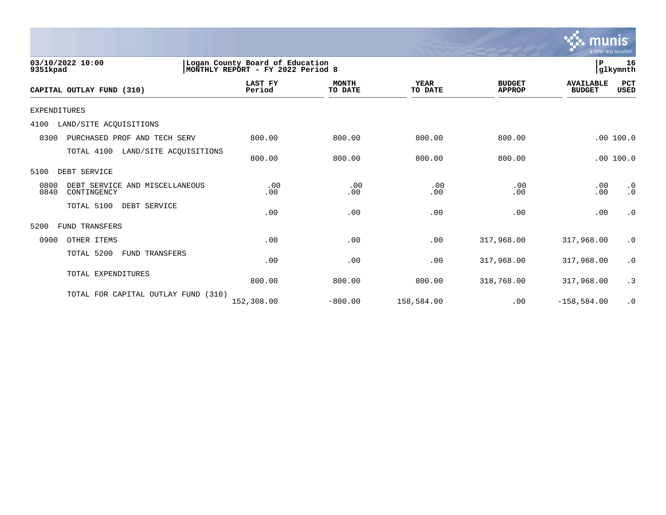

| 03/10/2022 10:00<br>9351kpad                                  | Logan County Board of Education<br> MONTHLY REPORT - FY 2022 Period 8 |                         |                        |                                |                                   |                        |
|---------------------------------------------------------------|-----------------------------------------------------------------------|-------------------------|------------------------|--------------------------------|-----------------------------------|------------------------|
| CAPITAL OUTLAY FUND (310)                                     | <b>LAST FY</b><br>Period                                              | <b>MONTH</b><br>TO DATE | <b>YEAR</b><br>TO DATE | <b>BUDGET</b><br><b>APPROP</b> | <b>AVAILABLE</b><br><b>BUDGET</b> | PCT<br><b>USED</b>     |
| <b>EXPENDITURES</b>                                           |                                                                       |                         |                        |                                |                                   |                        |
| 4100<br>LAND/SITE ACQUISITIONS                                |                                                                       |                         |                        |                                |                                   |                        |
| 0300<br>PURCHASED PROF AND TECH SERV                          | 800.00                                                                | 800.00                  | 800.00                 | 800.00                         |                                   | .00 100.0              |
| TOTAL 4100                                                    | LAND/SITE ACQUISITIONS<br>800.00                                      | 800.00                  | 800.00                 | 800.00                         |                                   | .00100.0               |
| DEBT SERVICE<br>5100                                          |                                                                       |                         |                        |                                |                                   |                        |
| 0800<br>DEBT SERVICE AND MISCELLANEOUS<br>0840<br>CONTINGENCY | .00<br>.00                                                            | .00<br>.00              | .00<br>.00             | .00<br>.00                     | .00<br>.00                        | $\cdot$ 0<br>$\cdot$ 0 |
| TOTAL 5100<br>DEBT SERVICE                                    | .00                                                                   | .00                     | .00                    | .00                            | .00                               | $\cdot$ 0              |
| 5200<br>FUND TRANSFERS                                        |                                                                       |                         |                        |                                |                                   |                        |
| 0900<br>OTHER ITEMS                                           | .00                                                                   | .00                     | .00                    | 317,968.00                     | 317,968.00                        | $\cdot$ 0              |
| TOTAL 5200<br>FUND TRANSFERS                                  | .00                                                                   | .00                     | .00                    | 317,968.00                     | 317,968.00                        | $\cdot$ 0              |
| TOTAL EXPENDITURES                                            | 800.00                                                                | 800.00                  | 800.00                 | 318,768.00                     | 317,968.00                        | .3                     |
| TOTAL FOR CAPITAL OUTLAY FUND                                 | (310)<br>152,308.00                                                   | $-800.00$               | 158,584.00             | .00                            | $-158,584.00$                     | $\cdot$ 0              |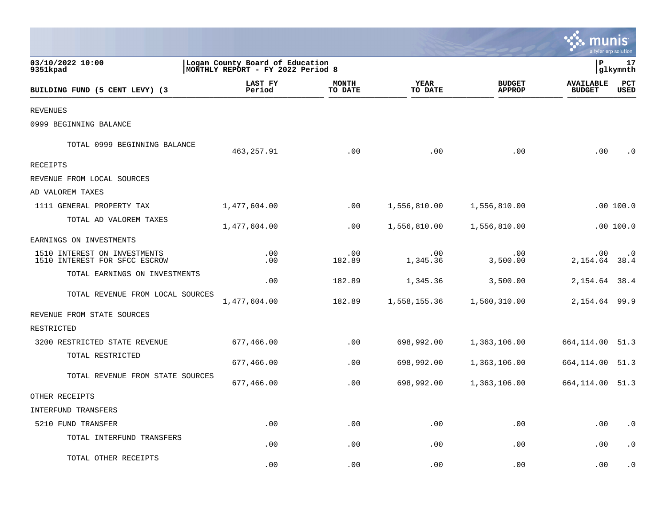|                                                               |                                                                      |                         |                             |                                | a tyler erp solution              |                        |
|---------------------------------------------------------------|----------------------------------------------------------------------|-------------------------|-----------------------------|--------------------------------|-----------------------------------|------------------------|
| 03/10/2022 10:00<br>9351kpad                                  | Logan County Board of Education<br>MONTHLY REPORT - FY 2022 Period 8 |                         |                             |                                | P                                 | 17<br>glkymnth         |
| BUILDING FUND (5 CENT LEVY) (3                                | LAST FY<br>Period                                                    | <b>MONTH</b><br>TO DATE | <b>YEAR</b><br>TO DATE      | <b>BUDGET</b><br><b>APPROP</b> | <b>AVAILABLE</b><br><b>BUDGET</b> | PCT<br><b>USED</b>     |
| <b>REVENUES</b>                                               |                                                                      |                         |                             |                                |                                   |                        |
| 0999 BEGINNING BALANCE                                        |                                                                      |                         |                             |                                |                                   |                        |
| TOTAL 0999 BEGINNING BALANCE                                  | 463, 257.91                                                          | .00                     | .00                         | .00                            | .00                               | $\cdot$ 0              |
| RECEIPTS                                                      |                                                                      |                         |                             |                                |                                   |                        |
| REVENUE FROM LOCAL SOURCES                                    |                                                                      |                         |                             |                                |                                   |                        |
| AD VALOREM TAXES                                              |                                                                      |                         |                             |                                |                                   |                        |
| 1111 GENERAL PROPERTY TAX                                     | 1,477,604.00                                                         | $.00 \,$                | 1,556,810.00                | 1,556,810.00                   |                                   | .00 100.0              |
| TOTAL AD VALOREM TAXES                                        | 1,477,604.00                                                         | $.00 \,$                | 1,556,810.00                | 1,556,810.00                   |                                   | .00100.0               |
| EARNINGS ON INVESTMENTS                                       |                                                                      |                         |                             |                                |                                   |                        |
| 1510 INTEREST ON INVESTMENTS<br>1510 INTEREST FOR SFCC ESCROW | .00<br>.00                                                           | .00<br>182.89           | .00<br>1,345.36             | .00<br>3,500.00                | $.00 \,$<br>2, 154.64 38.4        | $\cdot$ 0              |
| TOTAL EARNINGS ON INVESTMENTS                                 | .00                                                                  | 182.89                  | 1,345.36                    | 3,500.00                       | 2, 154.64 38.4                    |                        |
| TOTAL REVENUE FROM LOCAL SOURCES                              | 1,477,604.00                                                         | 182.89                  | 1,558,155.36                | 1,560,310.00                   | 2, 154.64 99.9                    |                        |
| REVENUE FROM STATE SOURCES                                    |                                                                      |                         |                             |                                |                                   |                        |
| RESTRICTED                                                    |                                                                      |                         |                             |                                |                                   |                        |
| 3200 RESTRICTED STATE REVENUE                                 | 677,466.00                                                           | .00                     | 698,992.00                  | 1,363,106.00                   | 664, 114.00 51.3                  |                        |
| TOTAL RESTRICTED                                              | 677,466.00                                                           | .00                     | 698,992.00                  | 1,363,106.00                   | 664,114.00                        | 51.3                   |
| TOTAL REVENUE FROM STATE SOURCES                              | 677,466.00                                                           | .00                     | 698,992.00                  | 1,363,106.00                   | 664, 114.00 51.3                  |                        |
| OTHER RECEIPTS                                                |                                                                      |                         |                             |                                |                                   |                        |
| INTERFUND TRANSFERS                                           |                                                                      |                         |                             |                                |                                   |                        |
| 5210 FUND TRANSFER                                            | .00                                                                  | .00                     | .00                         | .00                            | .00                               | $\boldsymbol{\cdot}$ 0 |
| TOTAL INTERFUND TRANSFERS                                     | .00                                                                  | .00                     | .00                         | .00                            | .00                               | $\cdot$ 0              |
| TOTAL OTHER RECEIPTS                                          | .00                                                                  | .00                     | $\boldsymbol{\mathsf{.00}}$ | .00                            | .00                               | $\cdot$ 0              |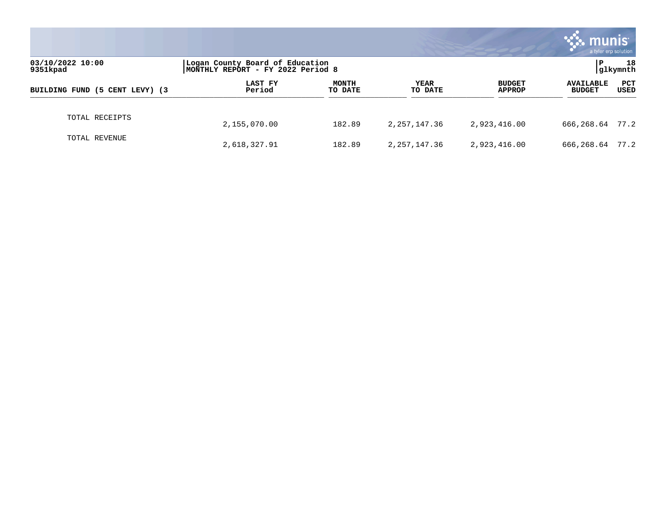|                                |                                                                      |                         |                 |                                | munis<br>a tyler erp solution     |             |  |
|--------------------------------|----------------------------------------------------------------------|-------------------------|-----------------|--------------------------------|-----------------------------------|-------------|--|
| 03/10/2022 10:00<br>9351kpad   | Logan County Board of Education<br>MONTHLY REPORT - FY 2022 Period 8 |                         |                 |                                | 18<br>l P<br>glkymnth             |             |  |
| BUILDING FUND (5 CENT LEVY) (3 | LAST FY<br>Period                                                    | <b>MONTH</b><br>TO DATE | YEAR<br>TO DATE | <b>BUDGET</b><br><b>APPROP</b> | <b>AVAILABLE</b><br><b>BUDGET</b> | PCT<br>USED |  |
| TOTAL RECEIPTS                 | 2,155,070.00                                                         | 182.89                  | 2, 257, 147. 36 | 2,923,416.00                   | 666,268.64                        | 77.2        |  |
| TOTAL REVENUE                  | 2,618,327.91                                                         | 182.89                  | 2,257,147.36    | 2,923,416.00                   | 666,268.64                        | 77.2        |  |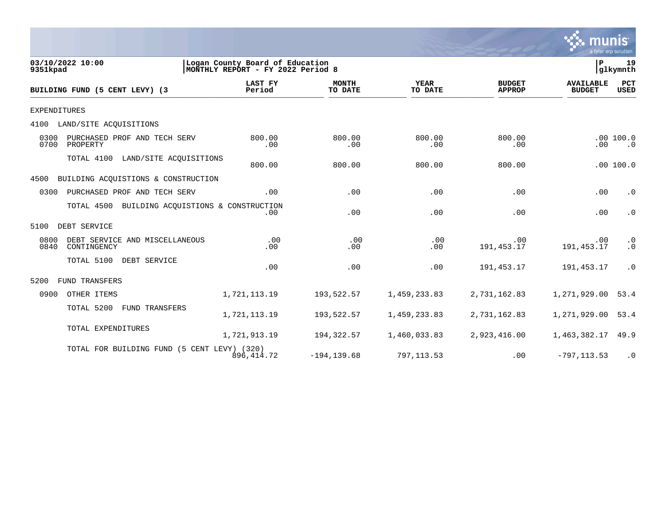

 $\frac{1}{\sqrt{2}}$ 

| 9351kpad            | 03/10/2022 10:00                                  | Logan County Board of Education<br>MONTHLY REPORT - FY 2022 Period 8 |                         |                        |                                | l P                               | 19<br> glkymnth           |
|---------------------|---------------------------------------------------|----------------------------------------------------------------------|-------------------------|------------------------|--------------------------------|-----------------------------------|---------------------------|
|                     | BUILDING FUND (5 CENT LEVY) (3                    | <b>LAST FY</b><br>Period                                             | <b>MONTH</b><br>TO DATE | <b>YEAR</b><br>TO DATE | <b>BUDGET</b><br><b>APPROP</b> | <b>AVAILABLE</b><br><b>BUDGET</b> | <b>PCT</b><br><b>USED</b> |
| <b>EXPENDITURES</b> |                                                   |                                                                      |                         |                        |                                |                                   |                           |
| 4100                | LAND/SITE ACQUISITIONS                            |                                                                      |                         |                        |                                |                                   |                           |
| 0300<br>0700        | PURCHASED PROF AND TECH SERV<br>PROPERTY          | 800.00<br>.00                                                        | 800.00<br>.00           | 800.00<br>.00          | 800.00<br>.00                  | .00                               | .00100.0<br>$\cdot$ 0     |
|                     | TOTAL 4100<br>LAND/SITE ACQUISITIONS              | 800.00                                                               | 800.00                  | 800.00                 | 800.00                         |                                   | .00100.0                  |
| 4500                | BUILDING ACOUISTIONS & CONSTRUCTION               |                                                                      |                         |                        |                                |                                   |                           |
| 0300                | PURCHASED PROF AND TECH SERV                      | .00                                                                  | .00                     | .00                    | .00                            | .00                               | $\cdot$ 0                 |
|                     | TOTAL 4500<br>BUILDING ACQUISTIONS & CONSTRUCTION | .00                                                                  | .00                     | .00                    | .00                            | .00                               | $\cdot$ 0                 |
| 5100                | DEBT SERVICE                                      |                                                                      |                         |                        |                                |                                   |                           |
| 0800<br>0840        | DEBT SERVICE AND MISCELLANEOUS<br>CONTINGENCY     | .00<br>.00                                                           | .00<br>.00              | .00<br>.00             | .00<br>191, 453.17             | .00<br>191, 453.17                | $\cdot$ 0<br>$\cdot$ 0    |
|                     | TOTAL 5100<br>DEBT SERVICE                        | .00                                                                  | .00                     | .00                    | 191,453.17                     | 191, 453. 17                      | $\cdot$ 0                 |
| 5200                | <b>FUND TRANSFERS</b>                             |                                                                      |                         |                        |                                |                                   |                           |
| 0900                | OTHER ITEMS                                       | 1,721,113.19                                                         | 193,522.57              | 1,459,233.83           | 2,731,162.83                   | 1,271,929.00                      | 53.4                      |
|                     | TOTAL 5200<br>FUND TRANSFERS                      | 1,721,113.19                                                         | 193,522.57              | 1,459,233.83           | 2,731,162.83                   | 1,271,929.00                      | 53.4                      |
|                     | TOTAL EXPENDITURES                                | 1,721,913.19                                                         | 194,322.57              | 1,460,033.83           | 2,923,416.00                   | 1,463,382.17                      | 49.9                      |
|                     | TOTAL FOR BUILDING FUND (5 CENT LEVY) (320)       | 896, 414.72                                                          | $-194, 139.68$          | 797, 113.53            | .00                            | $-797, 113.53$                    | $\cdot$ 0                 |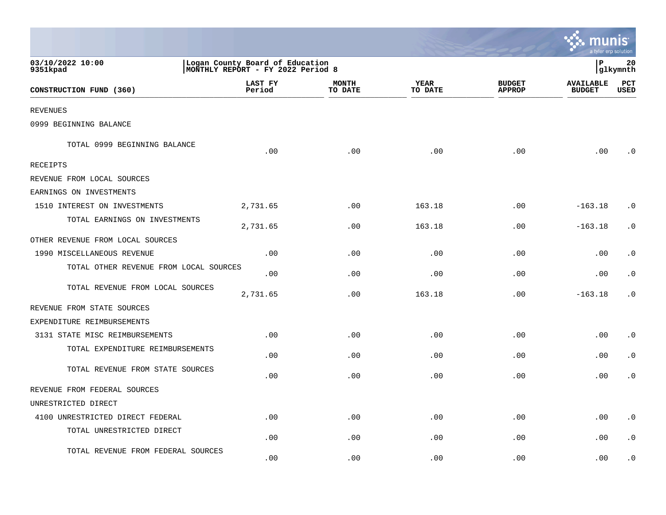|                                        |                                                                      |                         |                        |                                | munis<br>a tyler erp solution     |                    |
|----------------------------------------|----------------------------------------------------------------------|-------------------------|------------------------|--------------------------------|-----------------------------------|--------------------|
| 03/10/2022 10:00<br>9351kpad           | Logan County Board of Education<br>MONTHLY REPORT - FY 2022 Period 8 |                         |                        |                                | lР                                | 20<br> glkymnth    |
| CONSTRUCTION FUND (360)                | LAST FY<br>Period                                                    | <b>MONTH</b><br>TO DATE | <b>YEAR</b><br>TO DATE | <b>BUDGET</b><br><b>APPROP</b> | <b>AVAILABLE</b><br><b>BUDGET</b> | PCT<br><b>USED</b> |
| <b>REVENUES</b>                        |                                                                      |                         |                        |                                |                                   |                    |
| 0999 BEGINNING BALANCE                 |                                                                      |                         |                        |                                |                                   |                    |
| TOTAL 0999 BEGINNING BALANCE           | .00                                                                  | .00                     | .00                    | .00                            | .00                               | . 0                |
| <b>RECEIPTS</b>                        |                                                                      |                         |                        |                                |                                   |                    |
| REVENUE FROM LOCAL SOURCES             |                                                                      |                         |                        |                                |                                   |                    |
| EARNINGS ON INVESTMENTS                |                                                                      |                         |                        |                                |                                   |                    |
| 1510 INTEREST ON INVESTMENTS           | 2,731.65                                                             | .00                     | 163.18                 | .00                            | $-163.18$                         | $\cdot$ 0          |
| TOTAL EARNINGS ON INVESTMENTS          | 2,731.65                                                             | .00                     | 163.18                 | .00                            | $-163.18$                         | $\cdot$ 0          |
| OTHER REVENUE FROM LOCAL SOURCES       |                                                                      |                         |                        |                                |                                   |                    |
| 1990 MISCELLANEOUS REVENUE             | .00                                                                  | .00                     | .00                    | .00                            | .00                               | $\cdot$ 0          |
| TOTAL OTHER REVENUE FROM LOCAL SOURCES | .00                                                                  | .00                     | .00                    | .00                            | .00                               | $\cdot$ 0          |
| TOTAL REVENUE FROM LOCAL SOURCES       | 2,731.65                                                             | .00                     | 163.18                 | .00                            | $-163.18$                         | $\cdot$ 0          |
| REVENUE FROM STATE SOURCES             |                                                                      |                         |                        |                                |                                   |                    |
| EXPENDITURE REIMBURSEMENTS             |                                                                      |                         |                        |                                |                                   |                    |
| 3131 STATE MISC REIMBURSEMENTS         | .00                                                                  | .00                     | .00                    | .00                            | .00                               | $\cdot$ 0          |
| TOTAL EXPENDITURE REIMBURSEMENTS       | .00                                                                  | .00                     | .00                    | .00                            | .00                               | $\cdot$ 0          |
| TOTAL REVENUE FROM STATE SOURCES       | .00                                                                  | .00                     | .00                    | .00                            | .00                               | $\cdot$ 0          |
| REVENUE FROM FEDERAL SOURCES           |                                                                      |                         |                        |                                |                                   |                    |
| UNRESTRICTED DIRECT                    |                                                                      |                         |                        |                                |                                   |                    |
| 4100 UNRESTRICTED DIRECT FEDERAL       | .00                                                                  | .00                     | .00                    | .00                            | .00                               | . 0                |
| TOTAL UNRESTRICTED DIRECT              | .00                                                                  | .00                     | .00                    | .00                            | .00                               | $\cdot$ 0          |
| TOTAL REVENUE FROM FEDERAL SOURCES     | .00                                                                  | .00                     | .00                    | .00                            | .00                               | $\cdot$ 0          |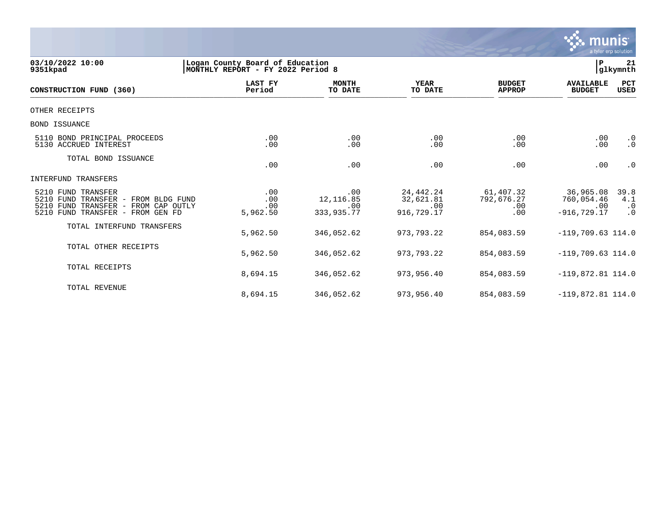

| 03/10/2022 10:00<br>9351kpad                                                                                                               | Logan County Board of Education<br>İΡ.<br>glkymnth<br>MONTHLY REPORT - FY 2022 Period 8 |                                        |                                               |                                       |                                                  |                                |  |
|--------------------------------------------------------------------------------------------------------------------------------------------|-----------------------------------------------------------------------------------------|----------------------------------------|-----------------------------------------------|---------------------------------------|--------------------------------------------------|--------------------------------|--|
| CONSTRUCTION FUND (360)                                                                                                                    | <b>LAST FY</b><br>Period                                                                | <b>MONTH</b><br>TO DATE                | YEAR<br>TO DATE                               | <b>BUDGET</b><br><b>APPROP</b>        | <b>AVAILABLE</b><br><b>BUDGET</b>                | PCT<br><b>USED</b>             |  |
| OTHER RECEIPTS                                                                                                                             |                                                                                         |                                        |                                               |                                       |                                                  |                                |  |
| <b>BOND ISSUANCE</b>                                                                                                                       |                                                                                         |                                        |                                               |                                       |                                                  |                                |  |
| 5110 BOND PRINCIPAL PROCEEDS<br>5130 ACCRUED INTEREST                                                                                      | .00<br>.00                                                                              | .00<br>.00                             | .00<br>.00                                    | .00<br>.00                            | .00<br>.00                                       | $\cdot$ 0<br>$\cdot$ 0         |  |
| TOTAL BOND ISSUANCE                                                                                                                        | .00                                                                                     | .00                                    | .00                                           | .00                                   | .00                                              | $\cdot$ 0                      |  |
| INTERFUND TRANSFERS                                                                                                                        |                                                                                         |                                        |                                               |                                       |                                                  |                                |  |
| 5210 FUND TRANSFER<br>5210 FUND TRANSFER - FROM BLDG FUND<br>5210 FUND TRANSFER -<br>FROM CAP OUTLY<br>5210 FUND TRANSFER -<br>FROM GEN FD | .00<br>.00<br>.00<br>5,962.50                                                           | .00<br>12, 116.85<br>.00<br>333,935.77 | 24, 442. 24<br>32,621.81<br>.00<br>916,729.17 | 61,407.32<br>792,676.27<br>.00<br>.00 | 36,965.08<br>760,054.46<br>.00<br>$-916, 729.17$ | 39.8<br>4.1<br>$\cdot$ 0<br>.0 |  |
| TOTAL INTERFUND TRANSFERS                                                                                                                  | 5,962.50                                                                                | 346,052.62                             | 973,793.22                                    | 854,083.59                            | $-119,709.63$ 114.0                              |                                |  |
| TOTAL OTHER RECEIPTS                                                                                                                       | 5,962.50                                                                                | 346,052.62                             | 973,793.22                                    | 854,083.59                            | $-119,709.63$ 114.0                              |                                |  |
| TOTAL RECEIPTS                                                                                                                             | 8,694.15                                                                                | 346,052.62                             | 973,956.40                                    | 854,083.59                            | $-119,872.81$ 114.0                              |                                |  |
| TOTAL REVENUE                                                                                                                              | 8,694.15                                                                                | 346,052.62                             | 973,956.40                                    | 854,083.59                            | $-119,872.81$ 114.0                              |                                |  |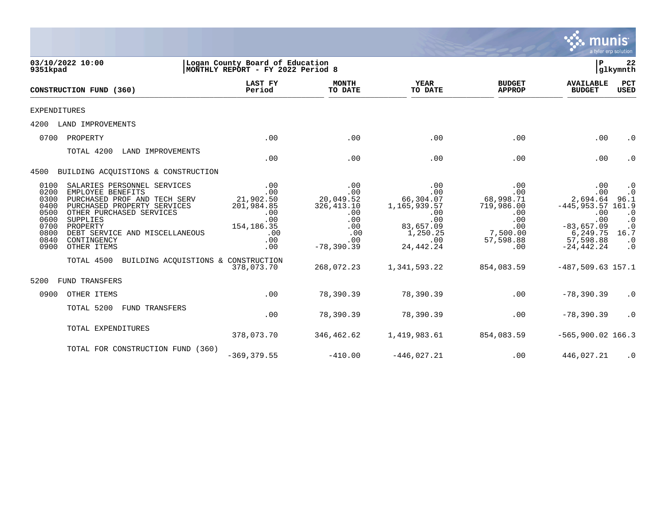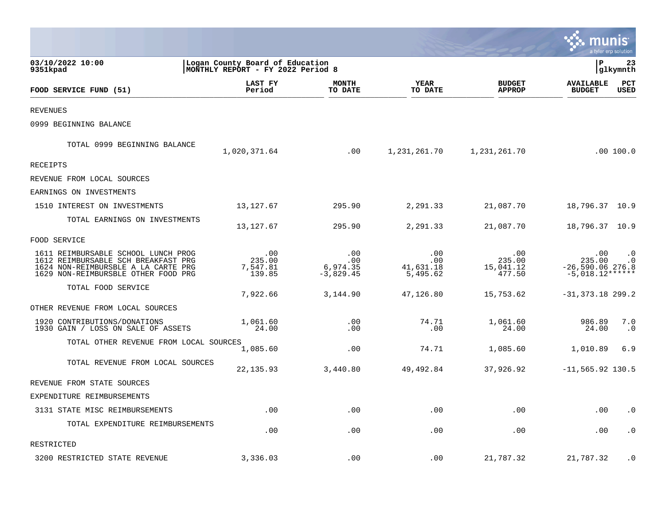|                                                                                                                                                          |                                                                      |                                       |                                      |                                      |                                                               | a tyler erp solution   |
|----------------------------------------------------------------------------------------------------------------------------------------------------------|----------------------------------------------------------------------|---------------------------------------|--------------------------------------|--------------------------------------|---------------------------------------------------------------|------------------------|
| 03/10/2022 10:00<br>9351kpad                                                                                                                             | Logan County Board of Education<br>MONTHLY REPORT - FY 2022 Period 8 |                                       |                                      |                                      | ΙP                                                            | 23<br>glkymnth         |
| FOOD SERVICE FUND (51)                                                                                                                                   | LAST FY<br>Period                                                    | <b>MONTH</b><br>TO DATE               | YEAR<br>TO DATE                      | <b>BUDGET</b><br><b>APPROP</b>       | <b>AVAILABLE</b><br><b>BUDGET</b>                             | PCT<br>USED            |
| <b>REVENUES</b>                                                                                                                                          |                                                                      |                                       |                                      |                                      |                                                               |                        |
| 0999 BEGINNING BALANCE                                                                                                                                   |                                                                      |                                       |                                      |                                      |                                                               |                        |
| TOTAL 0999 BEGINNING BALANCE                                                                                                                             | 1,020,371.64                                                         | .00                                   | 1,231,261.70                         | 1,231,261.70                         |                                                               | .00100.0               |
| <b>RECEIPTS</b>                                                                                                                                          |                                                                      |                                       |                                      |                                      |                                                               |                        |
| REVENUE FROM LOCAL SOURCES                                                                                                                               |                                                                      |                                       |                                      |                                      |                                                               |                        |
| EARNINGS ON INVESTMENTS                                                                                                                                  |                                                                      |                                       |                                      |                                      |                                                               |                        |
| 1510 INTEREST ON INVESTMENTS                                                                                                                             | 13, 127.67                                                           | 295.90                                | 2,291.33                             | 21,087.70                            | 18,796.37 10.9                                                |                        |
| TOTAL EARNINGS ON INVESTMENTS                                                                                                                            | 13, 127.67                                                           | 295.90                                | 2,291.33                             | 21,087.70                            | 18,796.37 10.9                                                |                        |
| FOOD SERVICE                                                                                                                                             |                                                                      |                                       |                                      |                                      |                                                               |                        |
| 1611 REIMBURSABLE SCHOOL LUNCH PROG<br>1612 REIMBURSABLE SCH BREAKFAST PRG<br>1624 NON-REIMBURSBLE A LA CARTE PRG<br>1629 NON-REIMBURSBLE OTHER FOOD PRG | .00<br>235.00<br>7,547.81<br>139.85                                  | .00<br>.00<br>6,974.35<br>$-3,829.45$ | .00<br>.00.<br>41,631.18<br>5,495.62 | .00<br>235.00<br>15,041.12<br>477.50 | $.00 \,$<br>235.00<br>$-26,590.06$ 276.8<br>$-5,018.12******$ | $\cdot$ 0<br>$\cdot$ 0 |
| TOTAL FOOD SERVICE                                                                                                                                       | 7,922.66                                                             | 3,144.90                              | 47,126.80                            | 15,753.62                            | $-31, 373.18$ 299.2                                           |                        |
| OTHER REVENUE FROM LOCAL SOURCES                                                                                                                         |                                                                      |                                       |                                      |                                      |                                                               |                        |
| 1920 CONTRIBUTIONS/DONATIONS<br>1930 GAIN / LOSS ON SALE OF ASSETS                                                                                       | 1,061.60<br>24.00                                                    | .00<br>.00                            | 74.71<br>.00                         | 1,061.60<br>24.00                    | 986.89<br>24.00                                               | 7.0<br>$\cdot$ 0       |
| TOTAL OTHER REVENUE FROM LOCAL SOURCES                                                                                                                   | 1,085.60                                                             | .00                                   | 74.71                                | 1,085.60                             | 1,010.89                                                      | 6.9                    |
| TOTAL REVENUE FROM LOCAL SOURCES                                                                                                                         | 22, 135.93                                                           | 3,440.80                              | 49,492.84                            | 37,926.92                            | $-11, 565.92$ 130.5                                           |                        |
| REVENUE FROM STATE SOURCES                                                                                                                               |                                                                      |                                       |                                      |                                      |                                                               |                        |
| EXPENDITURE REIMBURSEMENTS                                                                                                                               |                                                                      |                                       |                                      |                                      |                                                               |                        |
| 3131 STATE MISC REIMBURSEMENTS                                                                                                                           | .00                                                                  | .00                                   | .00                                  | .00                                  | .00                                                           | $\cdot$ 0              |
| TOTAL EXPENDITURE REIMBURSEMENTS                                                                                                                         | .00                                                                  | .00                                   | .00                                  | .00                                  | .00                                                           | $\cdot$ 0              |
| RESTRICTED                                                                                                                                               |                                                                      |                                       |                                      |                                      |                                                               |                        |
| 3200 RESTRICTED STATE REVENUE                                                                                                                            | 3,336.03                                                             | .00                                   | .00                                  | 21,787.32                            | 21,787.32                                                     | $\cdot$ 0              |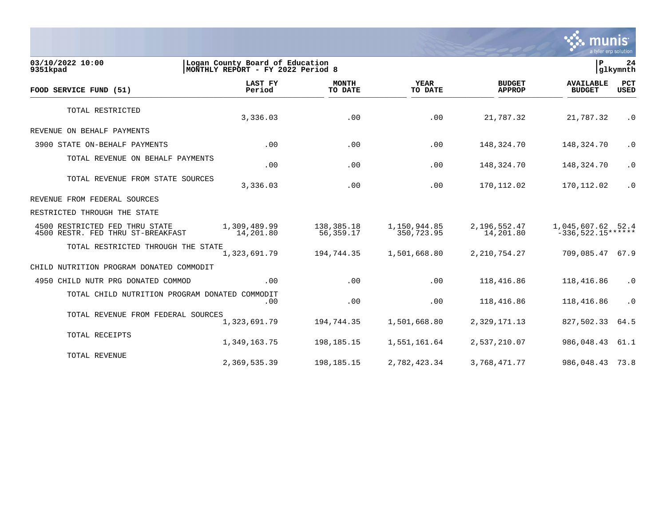

03/10/2022 10:00 **| Logan County Board of Education**<br>
9351kpad | MONTHLY REPORT - FY 2022 Period 8 MONTHLY REPORT - FY 2022 Period 8  **LAST FY MONTH YEAR BUDGET AVAILABLE PCT FOOD SERVICE FUND (51) Period TO DATE TO DATE APPROP BUDGET USED**  $\frac{10 \text{ BFR}}{10 \text{ BFR}}$ TOTAL RESTRICTED 3,336.03 .00 .00 21,787.32 21,787.32 .0 REVENUE ON BEHALF PAYMENTS 3900 STATE ON-BEHALF PAYMENTS .00 .00 .00 148,324.70 148,324.70 .0 TOTAL REVENUE ON BEHALF PAYMENTS .00 .00 .00 148,324.70 148,324.70 .0 TOTAL REVENUE FROM STATE SOURCES 0. 3,336.03 170,112.02 170,112.02 170,112.02 170,112.02 1 REVENUE FROM FEDERAL SOURCES RESTRICTED THROUGH THE STATE 4500 RESTRICTED FED THRU STATE 1,309,489.99 138,385.18 1,150,944.85 2,196,552.47 1,045,607.62 52.4 4500 RESTR. FED THRU ST-BREAKFAST TOTAL RESTRICTED THROUGH THE STATE<br>1,323,691.79 1,323,691.79 194,744.35 1,501,668.80 2,210,754.27 709,085.47 67.9 CHILD NUTRITION PROGRAM DONATED COMMODIT 4950 CHILD NUTR PRG DONATED COMMOD .00 .00 .00 118,416.86 118,416.86 .0 TOTAL CHILD NUTRITION PROGRAM DONATED COMMODIT .00 .00 .00 118,416.86 118,416.86 .0 TOTAL REVENUE FROM FEDERAL SOURCES 1,323,691.79 194,744.35 1,501,668.80 2,329,171.13 827,502.33 64.5 TOTAL RECEIPTS 1,349,163.75 198,185.15 1,551,161.64 2,537,210.07 986,048.43 61.1 TOTAL REVENUE 2,369,535.39 198,185.15 2,782,423.34 3,768,471.77 986,048.43 73.8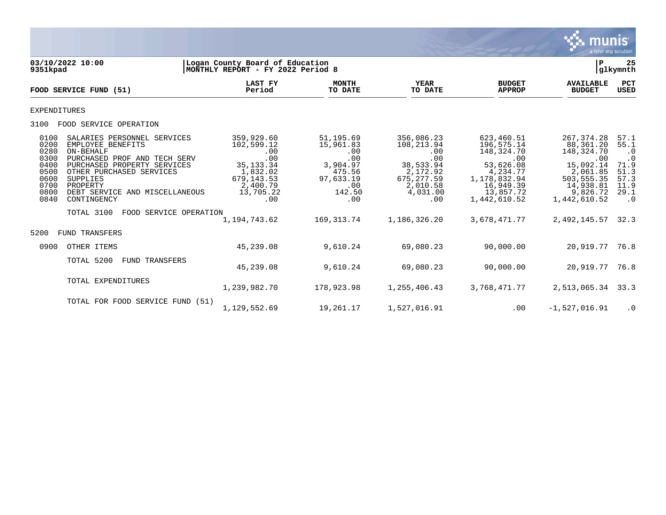

| 9351kpad                                                                     | 03/10/2022 10:00                                                                                                                                                                                                                                                          | Logan County Board of Education<br>MONTHLY REPORT - FY 2022 Period 8                                             |                                                                                                 |                                                                                                               |                                                                                                                                    | P                                                                                                                              | 25<br> glkymnth                                                                             |
|------------------------------------------------------------------------------|---------------------------------------------------------------------------------------------------------------------------------------------------------------------------------------------------------------------------------------------------------------------------|------------------------------------------------------------------------------------------------------------------|-------------------------------------------------------------------------------------------------|---------------------------------------------------------------------------------------------------------------|------------------------------------------------------------------------------------------------------------------------------------|--------------------------------------------------------------------------------------------------------------------------------|---------------------------------------------------------------------------------------------|
|                                                                              | FOOD SERVICE FUND (51)                                                                                                                                                                                                                                                    | LAST FY<br>Period                                                                                                | <b>MONTH</b><br>TO DATE                                                                         | <b>YEAR</b><br>TO DATE                                                                                        | <b>BUDGET</b><br><b>APPROP</b>                                                                                                     | <b>AVAILABLE</b><br><b>BUDGET</b>                                                                                              | PCT<br><b>USED</b>                                                                          |
| <b>EXPENDITURES</b>                                                          |                                                                                                                                                                                                                                                                           |                                                                                                                  |                                                                                                 |                                                                                                               |                                                                                                                                    |                                                                                                                                |                                                                                             |
| 3100                                                                         | FOOD SERVICE OPERATION                                                                                                                                                                                                                                                    |                                                                                                                  |                                                                                                 |                                                                                                               |                                                                                                                                    |                                                                                                                                |                                                                                             |
| 0100<br>0200<br>0280<br>0300<br>0400<br>0500<br>0600<br>0700<br>0800<br>0840 | SALARIES PERSONNEL SERVICES<br>EMPLOYEE BENEFITS<br>ON-BEHALF<br>PURCHASED PROF AND TECH SERV<br>PURCHASED PROPERTY SERVICES<br>OTHER PURCHASED SERVICES<br>SUPPLIES<br>PROPERTY<br>DEBT SERVICE AND MISCELLANEOUS<br>CONTINGENCY<br>TOTAL 3100<br>FOOD SERVICE OPERATION | 359,929.60<br>102,599.12<br>.00<br>.00<br>35, 133. 34<br>1,832.02<br>679, 143.53<br>2,400.79<br>13,705.22<br>.00 | 51,195.69<br>15,961.83<br>.00<br>.00<br>3,904.97<br>475.56<br>97,633.19<br>.00<br>142.50<br>.00 | 356,086.23<br>108,213.94<br>.00<br>.00<br>38,533.94<br>2,172.92<br>675, 277.59<br>2,010.58<br>4,031.00<br>.00 | 623,460.51<br>196,575.14<br>148,324.70<br>.00<br>53,626.08<br>4,234.77<br>1, 178, 832.94<br>16,949.39<br>13,857.72<br>1,442,610.52 | 267, 374. 28<br>88,361.20<br>148,324.70<br>.00<br>15,092.14<br>2,061.85<br>503,555.35<br>14,938.81<br>9,826.72<br>1,442,610.52 | 57.1<br>55.1<br>$\cdot$ 0<br>$\cdot$ 0<br>71.9<br>51.3<br>57.3<br>11.9<br>29.1<br>$\cdot$ 0 |
|                                                                              |                                                                                                                                                                                                                                                                           | 1,194,743.62                                                                                                     | 169, 313. 74                                                                                    | 1,186,326.20                                                                                                  | 3,678,471.77                                                                                                                       | 2,492,145.57                                                                                                                   | 32.3                                                                                        |
| 5200                                                                         | <b>FUND TRANSFERS</b>                                                                                                                                                                                                                                                     |                                                                                                                  |                                                                                                 |                                                                                                               |                                                                                                                                    |                                                                                                                                |                                                                                             |
| 0900                                                                         | OTHER ITEMS                                                                                                                                                                                                                                                               | 45,239.08                                                                                                        | 9,610.24                                                                                        | 69,080.23                                                                                                     | 90,000.00                                                                                                                          | 20,919.77 76.8                                                                                                                 |                                                                                             |
|                                                                              | TOTAL 5200<br>FUND TRANSFERS                                                                                                                                                                                                                                              | 45,239.08                                                                                                        | 9,610.24                                                                                        | 69,080.23                                                                                                     | 90,000.00                                                                                                                          | 20,919.77                                                                                                                      | 76.8                                                                                        |
|                                                                              | TOTAL EXPENDITURES                                                                                                                                                                                                                                                        | 1,239,982.70                                                                                                     | 178,923.98                                                                                      | 1,255,406.43                                                                                                  | 3,768,471.77                                                                                                                       | 2,513,065.34                                                                                                                   | 33.3                                                                                        |
|                                                                              | TOTAL FOR FOOD SERVICE FUND (51)                                                                                                                                                                                                                                          | 1,129,552.69                                                                                                     | 19,261.17                                                                                       | 1,527,016.91                                                                                                  | .00                                                                                                                                | $-1,527,016.91$                                                                                                                | $\cdot$ 0                                                                                   |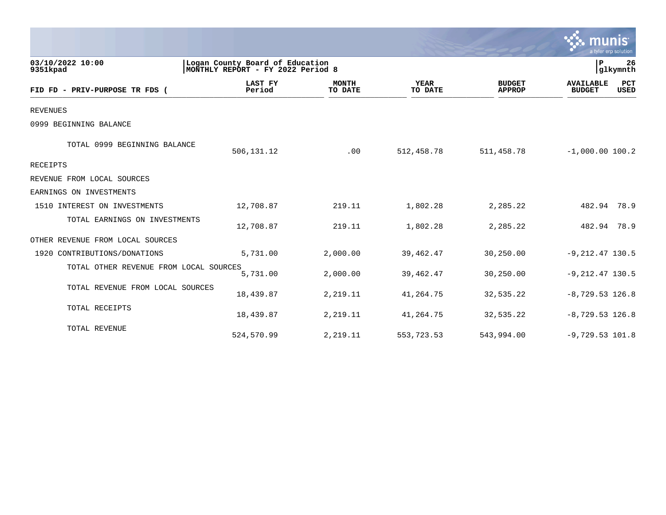|                                        |                          |                                                                      |                        |                                | munis<br>a tyler erp solution     |                    |
|----------------------------------------|--------------------------|----------------------------------------------------------------------|------------------------|--------------------------------|-----------------------------------|--------------------|
| 03/10/2022 10:00<br>9351kpad           |                          | Logan County Board of Education<br>MONTHLY REPORT - FY 2022 Period 8 |                        |                                | $\mathbf{P}$<br>glkymnth          | 26                 |
| FID FD - PRIV-PURPOSE TR FDS (         | <b>LAST FY</b><br>Period | <b>MONTH</b><br>TO DATE                                              | <b>YEAR</b><br>TO DATE | <b>BUDGET</b><br><b>APPROP</b> | <b>AVAILABLE</b><br><b>BUDGET</b> | PCT<br><b>USED</b> |
| <b>REVENUES</b>                        |                          |                                                                      |                        |                                |                                   |                    |
| 0999 BEGINNING BALANCE                 |                          |                                                                      |                        |                                |                                   |                    |
| TOTAL 0999 BEGINNING BALANCE           | 506, 131. 12             | .00                                                                  | 512,458.78             | 511, 458.78                    | $-1,000.00$ 100.2                 |                    |
| <b>RECEIPTS</b>                        |                          |                                                                      |                        |                                |                                   |                    |
| REVENUE FROM LOCAL SOURCES             |                          |                                                                      |                        |                                |                                   |                    |
| EARNINGS ON INVESTMENTS                |                          |                                                                      |                        |                                |                                   |                    |
| 1510 INTEREST ON INVESTMENTS           | 12,708.87                | 219.11                                                               | 1,802.28               | 2,285.22                       | 482.94 78.9                       |                    |
| TOTAL EARNINGS ON INVESTMENTS          | 12,708.87                | 219.11                                                               | 1,802.28               | 2,285.22                       | 482.94 78.9                       |                    |
| OTHER REVENUE FROM LOCAL SOURCES       |                          |                                                                      |                        |                                |                                   |                    |
| 1920 CONTRIBUTIONS/DONATIONS           | 5,731.00                 | 2,000.00                                                             | 39,462.47              | 30,250.00                      | $-9, 212.47$ 130.5                |                    |
| TOTAL OTHER REVENUE FROM LOCAL SOURCES | 5,731.00                 | 2,000.00                                                             | 39,462.47              | 30,250.00                      | $-9, 212.47$ 130.5                |                    |
| TOTAL REVENUE FROM LOCAL SOURCES       | 18,439.87                | 2,219.11                                                             | 41,264.75              | 32,535.22                      | $-8,729.53$ 126.8                 |                    |
| TOTAL RECEIPTS                         | 18,439.87                | 2,219.11                                                             | 41,264.75              | 32,535.22                      | $-8,729.53$ 126.8                 |                    |
| TOTAL REVENUE                          | 524,570.99               | 2,219.11                                                             | 553,723.53             | 543,994.00                     | $-9,729.53$ 101.8                 |                    |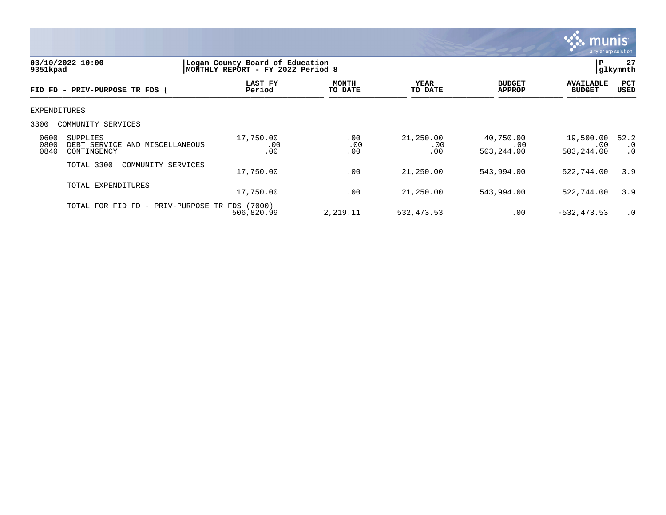

| 03/10/2022 10:00<br>9351kpad |                                                              | Logan County Board of Education<br>l P<br>glkymnth <br>MONTHLY REPORT - FY 2022 Period 8 |                         |                         |                                |                                   |                                |
|------------------------------|--------------------------------------------------------------|------------------------------------------------------------------------------------------|-------------------------|-------------------------|--------------------------------|-----------------------------------|--------------------------------|
|                              | FID FD - PRIV-PURPOSE TR FDS (                               | LAST FY<br>Period                                                                        | <b>MONTH</b><br>TO DATE | YEAR<br>TO DATE         | <b>BUDGET</b><br><b>APPROP</b> | <b>AVAILABLE</b><br><b>BUDGET</b> | <b>PCT</b><br>USED             |
| EXPENDITURES                 |                                                              |                                                                                          |                         |                         |                                |                                   |                                |
| 3300                         | COMMUNITY SERVICES                                           |                                                                                          |                         |                         |                                |                                   |                                |
| 0600<br>0800<br>0840         | SUPPLIES<br>DEBT SERVICE<br>AND MISCELLANEOUS<br>CONTINGENCY | 17,750.00<br>.00<br>.00                                                                  | .00<br>.00<br>.00       | 21,250.00<br>.00<br>.00 | 40,750.00<br>.00<br>503,244.00 | 19,500.00<br>.00<br>503,244.00    | 52.2<br>$\cdot$ 0<br>$\cdot$ 0 |
|                              | TOTAL 3300<br>COMMUNITY SERVICES                             | 17,750.00                                                                                | .00                     | 21,250.00               | 543,994.00                     | 522,744.00                        | 3.9                            |
|                              | TOTAL EXPENDITURES                                           | 17,750.00                                                                                | .00                     | 21,250.00               | 543,994.00                     | 522,744.00                        | 3.9                            |
|                              | TOTAL FOR FID FD - PRIV-PURPOSE TR FDS (7000)                | 506,820.99                                                                               | 2,219.11                | 532, 473.53             | .00                            | $-532, 473.53$                    | $\cdot$ 0                      |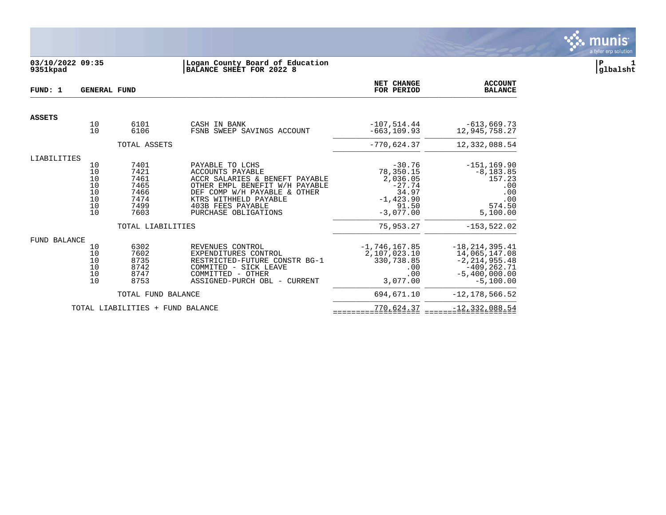

# **03/10/2022 09:35 |Logan County Board of Education |P 1 9351kpad |BALANCE SHEET FOR 2022 8 |glbalsht**

| FUND: 1             | <b>GENERAL FUND</b>                              |                                                              |                                                                                                                                                                                                                      | NET CHANGE<br>FOR PERIOD                                                                       | <b>ACCOUNT</b><br><b>BALANCE</b>                                                                             |
|---------------------|--------------------------------------------------|--------------------------------------------------------------|----------------------------------------------------------------------------------------------------------------------------------------------------------------------------------------------------------------------|------------------------------------------------------------------------------------------------|--------------------------------------------------------------------------------------------------------------|
| <b>ASSETS</b>       |                                                  |                                                              |                                                                                                                                                                                                                      |                                                                                                |                                                                                                              |
|                     | 10<br>10                                         | 6101<br>6106                                                 | CASH IN BANK<br>FSNB SWEEP SAVINGS ACCOUNT                                                                                                                                                                           | $-107,514.44$<br>$-663, 109.93$                                                                | $-613,669.73$<br>12,945,758.27                                                                               |
|                     |                                                  | TOTAL ASSETS                                                 |                                                                                                                                                                                                                      | $-770,624.37$                                                                                  | 12,332,088.54                                                                                                |
| LIABILITIES         |                                                  |                                                              |                                                                                                                                                                                                                      |                                                                                                |                                                                                                              |
|                     | 10<br>10<br>10<br>$10$<br>$10$<br>10<br>10<br>10 | 7401<br>7421<br>7461<br>7465<br>7466<br>7474<br>7499<br>7603 | PAYABLE TO LCHS<br>ACCOUNTS PAYABLE<br>ACCR SALARIES & BENEFT PAYABLE<br>OTHER EMPL BENEFIT W/H PAYABLE<br>DEF COMP W/H PAYABLE & OTHER<br>KTRS WITHHELD PAYABLE<br><b>403B FEES PAYABLE</b><br>PURCHASE OBLIGATIONS | $-30.76$<br>78,350.15<br>2,036.05<br>$-27.74$<br>34.97<br>$-1, 423.90$<br>91.50<br>$-3,077.00$ | $-151, 169.90$<br>$-8, 183.85$<br>157.23<br>.00<br>.00<br>.00<br>574.50<br>5,100.00                          |
|                     |                                                  | TOTAL LIABILITIES                                            |                                                                                                                                                                                                                      | 75,953.27                                                                                      | $-153, 522.02$                                                                                               |
| <b>FUND BALANCE</b> |                                                  |                                                              |                                                                                                                                                                                                                      |                                                                                                |                                                                                                              |
|                     | 10<br>10<br>10<br>10<br>10<br>10                 | 6302<br>7602<br>8735<br>8742<br>8747<br>8753                 | REVENUES CONTROL<br>EXPENDITURES CONTROL<br>RESTRICTED-FUTURE CONSTR BG-1<br>COMMITED - SICK LEAVE<br>COMMITTED - OTHER<br>ASSIGNED-PURCH OBL - CURRENT                                                              | $-1,746,167.85$<br>2,107,023.10<br>330,738.85<br>.00<br>.00<br>3,077.00                        | $-18, 214, 395.41$<br>14,065,147.08<br>$-2, 214, 955.48$<br>$-409, 262.71$<br>$-5,400,000.00$<br>$-5,100.00$ |
|                     |                                                  | TOTAL FUND BALANCE                                           |                                                                                                                                                                                                                      | 694,671.10                                                                                     | $-12, 178, 566.52$                                                                                           |
|                     |                                                  | TOTAL LIABILITIES + FUND BALANCE                             |                                                                                                                                                                                                                      | 770,624.37                                                                                     | $-12, 332, 088.54$                                                                                           |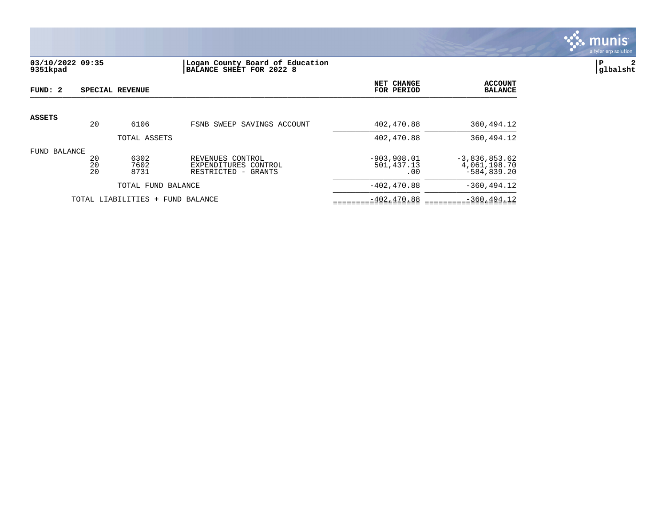

# **03/10/2022 09:35 |Logan County Board of Education |P 2 9351kpad |BALANCE SHEET FOR 2022 8 |glbalsht**

| FUND: 2         |                                        | SPECIAL REVENUE                  |                                                                    | NET CHANGE<br>FOR PERIOD           | <b>ACCOUNT</b><br><b>BALANCE</b>                 |
|-----------------|----------------------------------------|----------------------------------|--------------------------------------------------------------------|------------------------------------|--------------------------------------------------|
| <b>ASSETS</b>   | 20                                     | 6106                             | FSNB SWEEP SAVINGS ACCOUNT                                         | 402,470.88                         | 360,494.12                                       |
|                 |                                        | TOTAL ASSETS                     |                                                                    | 402,470.88                         | 360,494.12                                       |
| BALANCE<br>FUND | 20<br>6302<br>20<br>7602<br>20<br>8731 |                                  | REVENUES CONTROL<br>EXPENDITURES CONTROL<br>RESTRICTED<br>- GRANTS | $-903,908.01$<br>501,437.13<br>.00 | $-3,836,853.62$<br>4,061,198.70<br>$-584.839.20$ |
|                 |                                        | TOTAL FUND BALANCE               |                                                                    | $-402.470.88$                      | $-360, 494.12$                                   |
|                 |                                        | TOTAL LIABILITIES + FUND BALANCE | $-402, 470.88$                                                     | $-360, 494.12$                     |                                                  |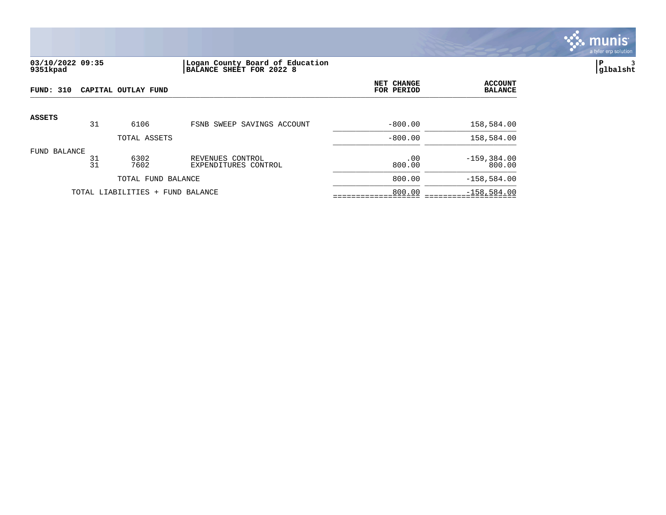

## **03/10/2022 09:35 |Logan County Board of Education |P 3 9351kpad |BALANCE SHEET FOR 2022 8 |glbalsht**

| FUND: 310     |          | CAPITAL OUTLAY FUND              | NET CHANGE<br>FOR PERIOD                 | <b>ACCOUNT</b><br><b>BALANCE</b> |                          |
|---------------|----------|----------------------------------|------------------------------------------|----------------------------------|--------------------------|
| <b>ASSETS</b> |          |                                  |                                          |                                  |                          |
|               | 31       | 6106                             | FSNB SWEEP SAVINGS ACCOUNT               | $-800.00$                        | 158,584.00               |
|               |          | TOTAL ASSETS                     |                                          | $-800.00$                        | 158,584.00               |
| FUND BALANCE  | 31<br>31 | 6302<br>7602                     | REVENUES CONTROL<br>EXPENDITURES CONTROL | .00<br>800.00                    | $-159, 384.00$<br>800.00 |
|               |          | TOTAL FUND BALANCE               |                                          | 800.00                           | $-158,584.00$            |
|               |          | TOTAL LIABILITIES + FUND BALANCE | 800.00                                   | $-158,584.00$                    |                          |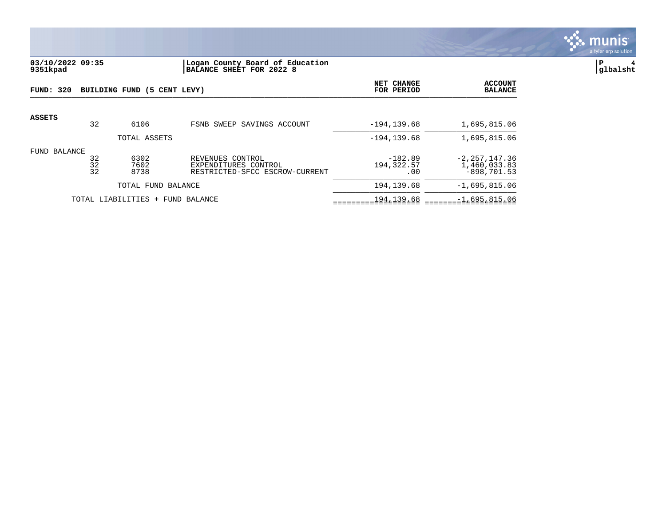

## **03/10/2022 09:35 |Logan County Board of Education |P 4 9351kpad |BALANCE SHEET FOR 2022 8 |glbalsht**

| FUND: 320     |                                                                                    | BUILDING FUND (5 CENT LEVY) |                                | NET CHANGE<br>FOR PERIOD       | <b>ACCOUNT</b><br><b>BALANCE</b>                   |
|---------------|------------------------------------------------------------------------------------|-----------------------------|--------------------------------|--------------------------------|----------------------------------------------------|
| <b>ASSETS</b> | 32                                                                                 | 6106                        | FSNB SWEEP SAVINGS ACCOUNT     | $-194.139.68$                  | 1,695,815.06                                       |
|               |                                                                                    | TOTAL ASSETS                |                                | $-194, 139.68$                 | 1,695,815.06                                       |
| FUND BALANCE  | 6302<br>32<br>REVENUES CONTROL<br>32<br>7602<br>EXPENDITURES CONTROL<br>32<br>8738 |                             | RESTRICTED-SFCC ESCROW-CURRENT | $-182.89$<br>194,322.57<br>.00 | $-2, 257, 147.36$<br>1,460,033.83<br>$-898.701.53$ |
|               |                                                                                    | TOTAL FUND BALANCE          |                                | 194, 139.68                    | $-1,695,815.06$                                    |
|               |                                                                                    | TOTAL LIABILITIES +         | FUND BALANCE                   | 194, 139.68                    | $-1,695,815.06$                                    |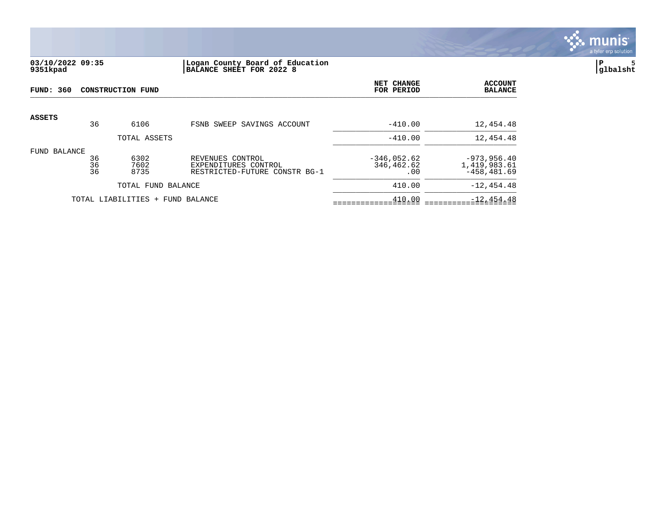

### **03/10/2022 09:35 |Logan County Board of Education |P 5 9351kpad |BALANCE SHEET FOR 2022 8 |glbalsht**

| FUND: 360                                                                                                                              |    | <b>CONSTRUCTION FUND</b>         | NET CHANGE<br>FOR PERIOD           | <b>ACCOUNT</b><br><b>BALANCE</b>                 |               |
|----------------------------------------------------------------------------------------------------------------------------------------|----|----------------------------------|------------------------------------|--------------------------------------------------|---------------|
| <b>ASSETS</b>                                                                                                                          | 36 | 6106                             | FSNB SWEEP SAVINGS ACCOUNT         | $-410.00$                                        | 12,454.48     |
|                                                                                                                                        |    | TOTAL ASSETS                     |                                    | $-410.00$                                        | 12,454.48     |
| BALANCE<br>FUND<br>6302<br>36<br>REVENUES CONTROL<br>36<br>7602<br>EXPENDITURES CONTROL<br>36<br>8735<br>RESTRICTED-FUTURE CONSTR BG-1 |    |                                  | $-346,052.62$<br>346,462.62<br>.00 | $-973, 956.40$<br>1,419,983.61<br>$-458, 481.69$ |               |
|                                                                                                                                        |    | TOTAL FUND BALANCE               |                                    | 410.00                                           | $-12, 454.48$ |
|                                                                                                                                        |    | TOTAL LIABILITIES + FUND BALANCE | 410.00                             | $-12, 454.48$                                    |               |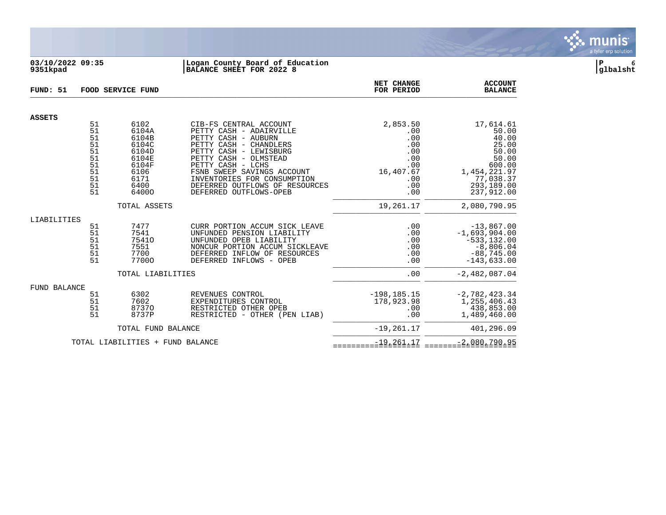

#### **03/10/2022 09:35 |Logan County Board of Education |P 6 9351kpad |BALANCE SHEET FOR 2022 8 |glbalsht**

| FUND: 51      |                                                                | FOOD SERVICE FUND                                                                           |                                                                                                                                                                                                                                                                                                     | NET CHANGE<br>FOR PERIOD                                                             | <b>ACCOUNT</b><br><b>BALANCE</b>                                                                                          |
|---------------|----------------------------------------------------------------|---------------------------------------------------------------------------------------------|-----------------------------------------------------------------------------------------------------------------------------------------------------------------------------------------------------------------------------------------------------------------------------------------------------|--------------------------------------------------------------------------------------|---------------------------------------------------------------------------------------------------------------------------|
|               |                                                                |                                                                                             |                                                                                                                                                                                                                                                                                                     |                                                                                      |                                                                                                                           |
| <b>ASSETS</b> | 51<br>51<br>51<br>51<br>51<br>51<br>51<br>51<br>51<br>51<br>51 | 6102<br>6104A<br>6104B<br>6104C<br>6104D<br>6104E<br>6104F<br>6106<br>6171<br>6400<br>64000 | CIB-FS CENTRAL ACCOUNT<br>PETTY CASH - ADAIRVILLE<br>PETTY CASH - AUBURN<br>PETTY CASH - CHANDLERS<br>PETTY CASH - LEWISBURG<br>PETTY CASH - OLMSTEAD<br>PETTY CASH - LCHS<br>FSNB SWEEP SAVINGS ACCOUNT<br>INVENTORIES FOR CONSUMPTION<br>DEFERRED OUTFLOWS OF RESOURCES<br>DEFERRED OUTFLOWS-OPEB | 2,853.50<br>.00<br>.00<br>.00<br>.00<br>.00<br>.00<br>16,407.67<br>.00<br>.00<br>.00 | 17,614.61<br>50.00<br>40.00<br>25.00<br>50.00<br>50.00<br>600.00<br>1,454,221.97<br>77,038.37<br>293,189.00<br>237,912.00 |
|               |                                                                | TOTAL ASSETS                                                                                |                                                                                                                                                                                                                                                                                                     | 19,261.17                                                                            | 2,080,790.95                                                                                                              |
| LIABILITIES   | 51<br>51<br>51<br>51<br>51<br>51                               | 7477<br>7541<br>75410<br>7551<br>7700<br>77000<br>TOTAL LIABILITIES                         | CURR PORTION ACCUM SICK LEAVE<br>UNFUNDED PENSION LIABILITY<br>UNFUNDED OPEB LIABILITY<br>NONCUR PORTION ACCUM SICKLEAVE<br>DEFERRED INFLOW OF RESOURCES<br>DEFERRED INFLOWS - OPEB                                                                                                                 | .00<br>.00<br>.00<br>.00<br>.00<br>.00<br>.00                                        | $-13,867.00$<br>$-1,693,904.00$<br>$-533, 132.00$<br>$-8,806.04$<br>$-88,745.00$<br>$-143,633.00$<br>$-2,482,087.04$      |
| FUND BALANCE  | 51<br>51<br>51<br>51                                           | 6302<br>7602<br>87370<br>8737P                                                              | REVENUES CONTROL<br>EXPENDITURES CONTROL<br>RESTRICTED OTHER OPEB<br>RESTRICTED - OTHER (PEN LIAB)                                                                                                                                                                                                  | $-198, 185.15$<br>178,923.98<br>.00<br>.00                                           | $-2,782,423.34$<br>1,255,406.43<br>438,853.00<br>1,489,460.00                                                             |
|               |                                                                | TOTAL FUND BALANCE                                                                          | $-19, 261.17$                                                                                                                                                                                                                                                                                       | 401,296.09                                                                           |                                                                                                                           |
|               |                                                                | TOTAL LIABILITIES + FUND BALANCE                                                            | $-19, 261.17$                                                                                                                                                                                                                                                                                       | $-2,080,790.95$                                                                      |                                                                                                                           |